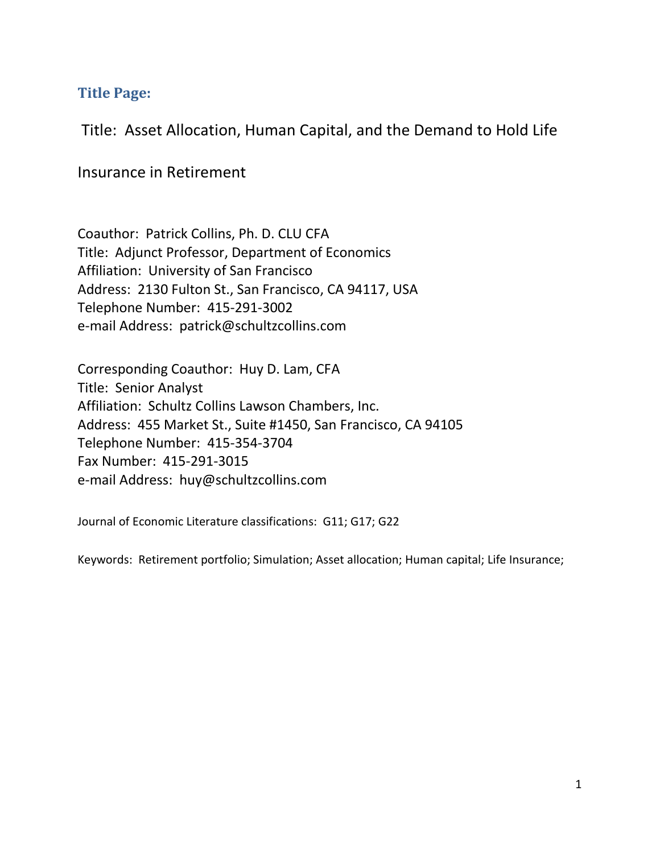# **Title Page:**

Title: Asset Allocation, Human Capital, and the Demand to Hold Life

Insurance in Retirement

Coauthor: Patrick Collins, Ph. D. CLU CFA Title: Adjunct Professor, Department of Economics Affiliation: University of San Francisco Address: 2130 Fulton St., San Francisco, CA 94117, USA Telephone Number: 415-291-3002 e-mail Address: patrick@schultzcollins.com

Corresponding Coauthor: Huy D. Lam, CFA Title: Senior Analyst Affiliation: Schultz Collins Lawson Chambers, Inc. Address: 455 Market St., Suite #1450, San Francisco, CA 94105 Telephone Number: 415-354-3704 Fax Number: 415-291-3015 e-mail Address: huy@schultzcollins.com

Journal of Economic Literature classifications: G11; G17; G22

Keywords: Retirement portfolio; Simulation; Asset allocation; Human capital; Life Insurance;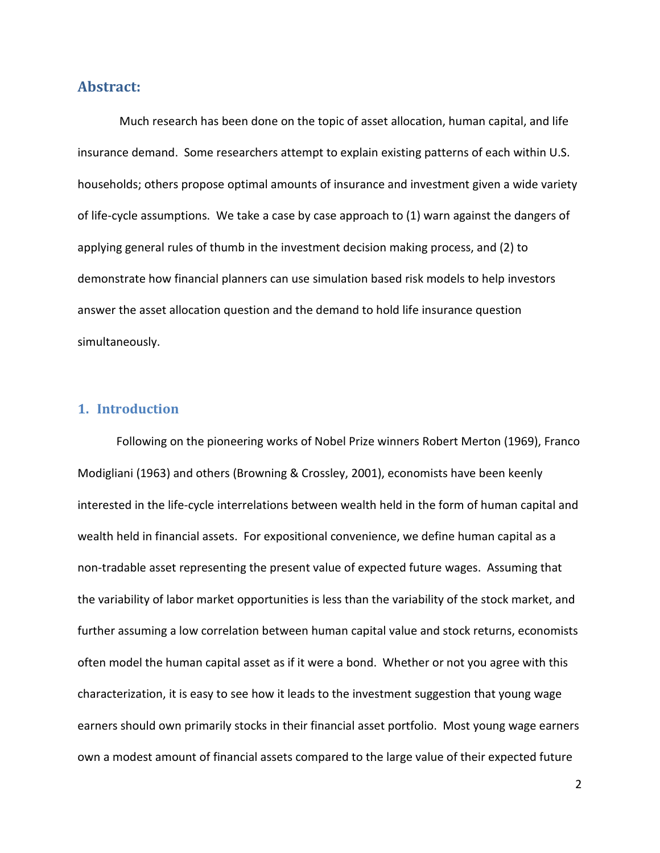# **Abstract:**

Much research has been done on the topic of asset allocation, human capital, and life insurance demand. Some researchers attempt to explain existing patterns of each within U.S. households; others propose optimal amounts of insurance and investment given a wide variety of life-cycle assumptions. We take a case by case approach to (1) warn against the dangers of applying general rules of thumb in the investment decision making process, and (2) to demonstrate how financial planners can use simulation based risk models to help investors answer the asset allocation question and the demand to hold life insurance question simultaneously.

# **1. Introduction**

Following on the pioneering works of Nobel Prize winners Robert Merton (1969), Franco Modigliani (1963) and others (Browning & Crossley, 2001), economists have been keenly interested in the life-cycle interrelations between wealth held in the form of human capital and wealth held in financial assets. For expositional convenience, we define human capital as a non-tradable asset representing the present value of expected future wages. Assuming that the variability of labor market opportunities is less than the variability of the stock market, and further assuming a low correlation between human capital value and stock returns, economists often model the human capital asset as if it were a bond. Whether or not you agree with this characterization, it is easy to see how it leads to the investment suggestion that young wage earners should own primarily stocks in their financial asset portfolio. Most young wage earners own a modest amount of financial assets compared to the large value of their expected future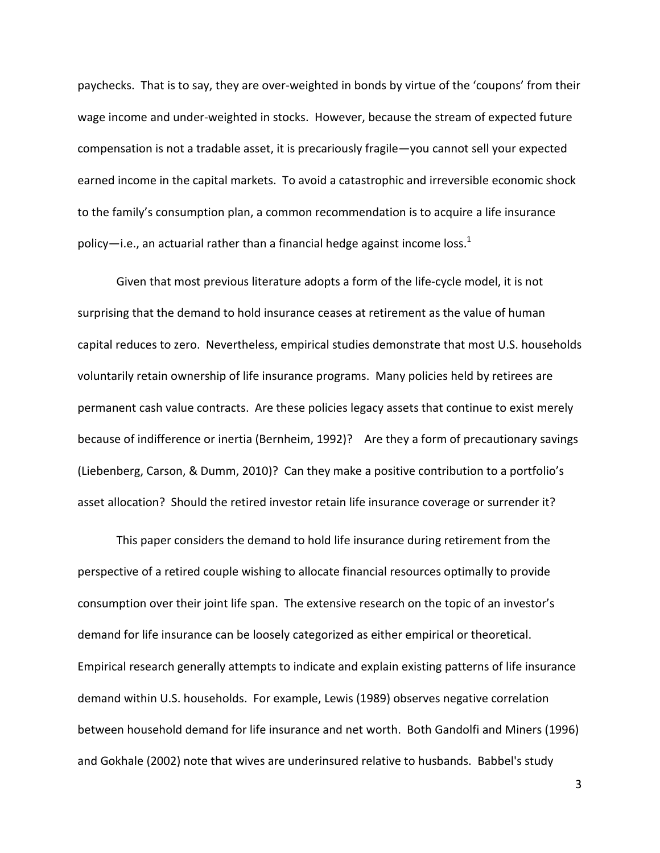paychecks. That is to say, they are over-weighted in bonds by virtue of the 'coupons' from their wage income and under-weighted in stocks. However, because the stream of expected future compensation is not a tradable asset, it is precariously fragile—you cannot sell your expected earned income in the capital markets. To avoid a catastrophic and irreversible economic shock to the family's consumption plan, a common recommendation is to acquire a life insurance policy—i.e., an actuarial rather than a financial hedge against income loss.<sup>1</sup>

Given that most previous literature adopts a form of the life-cycle model, it is not surprising that the demand to hold insurance ceases at retirement as the value of human capital reduces to zero. Nevertheless, empirical studies demonstrate that most U.S. households voluntarily retain ownership of life insurance programs. Many policies held by retirees are permanent cash value contracts. Are these policies legacy assets that continue to exist merely because of indifference or inertia (Bernheim, 1992)? Are they a form of precautionary savings (Liebenberg, Carson, & Dumm, 2010)? Can they make a positive contribution to a portfolio's asset allocation? Should the retired investor retain life insurance coverage or surrender it?

This paper considers the demand to hold life insurance during retirement from the perspective of a retired couple wishing to allocate financial resources optimally to provide consumption over their joint life span. The extensive research on the topic of an investor's demand for life insurance can be loosely categorized as either empirical or theoretical. Empirical research generally attempts to indicate and explain existing patterns of life insurance demand within U.S. households. For example, Lewis (1989) observes negative correlation between household demand for life insurance and net worth. Both Gandolfi and Miners (1996) and Gokhale (2002) note that wives are underinsured relative to husbands. Babbel's study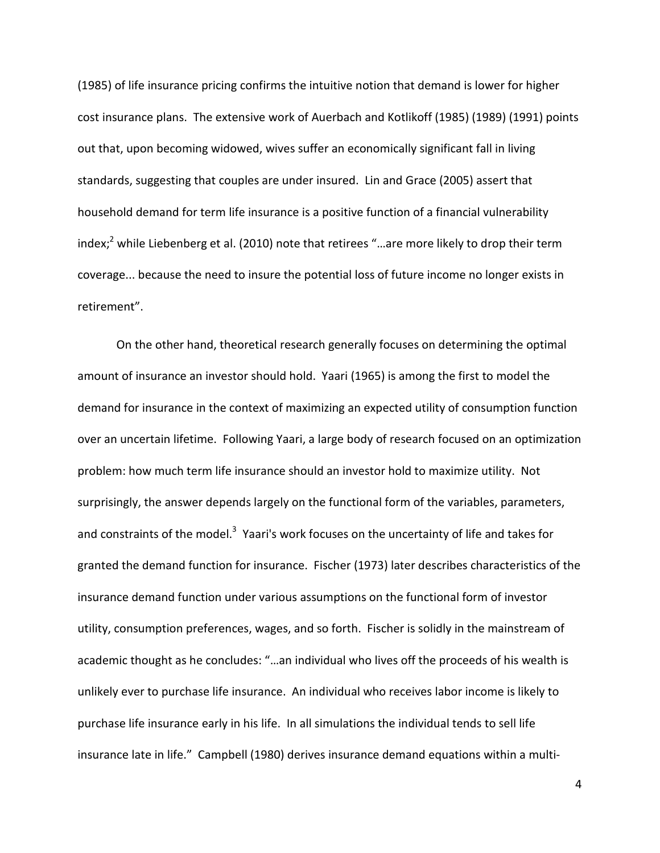(1985) of life insurance pricing confirms the intuitive notion that demand is lower for higher cost insurance plans. The extensive work of Auerbach and Kotlikoff (1985) (1989) (1991) points out that, upon becoming widowed, wives suffer an economically significant fall in living standards, suggesting that couples are under insured. Lin and Grace (2005) assert that household demand for term life insurance is a positive function of a financial vulnerability index;<sup>2</sup> while Liebenberg et al. (2010) note that retirees "...are more likely to drop their term coverage... because the need to insure the potential loss of future income no longer exists in retirement".

On the other hand, theoretical research generally focuses on determining the optimal amount of insurance an investor should hold. Yaari (1965) is among the first to model the demand for insurance in the context of maximizing an expected utility of consumption function over an uncertain lifetime. Following Yaari, a large body of research focused on an optimization problem: how much term life insurance should an investor hold to maximize utility. Not surprisingly, the answer depends largely on the functional form of the variables, parameters, and constraints of the model.<sup>3</sup> Yaari's work focuses on the uncertainty of life and takes for granted the demand function for insurance. Fischer (1973) later describes characteristics of the insurance demand function under various assumptions on the functional form of investor utility, consumption preferences, wages, and so forth. Fischer is solidly in the mainstream of academic thought as he concludes: "…an individual who lives off the proceeds of his wealth is unlikely ever to purchase life insurance. An individual who receives labor income is likely to purchase life insurance early in his life. In all simulations the individual tends to sell life insurance late in life." Campbell (1980) derives insurance demand equations within a multi-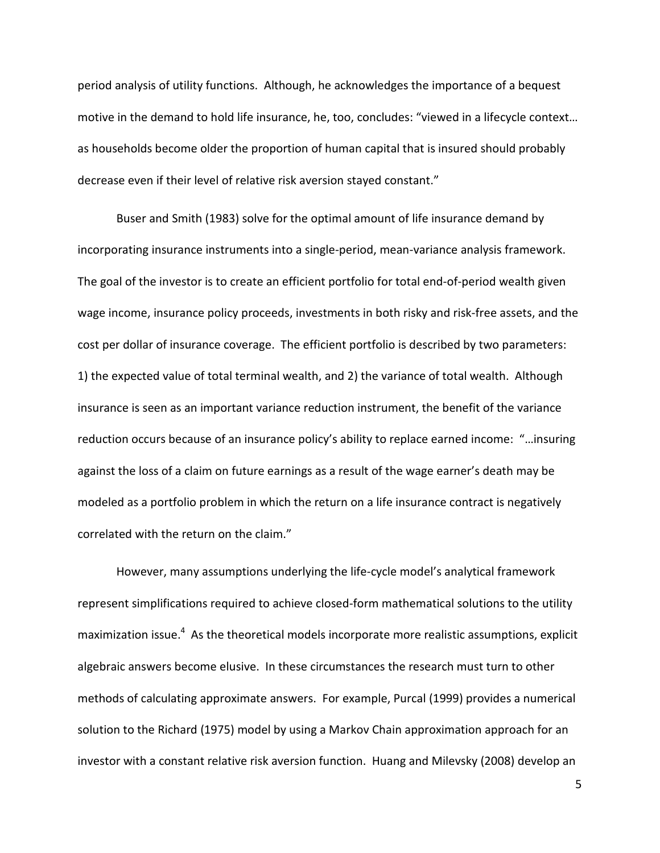period analysis of utility functions. Although, he acknowledges the importance of a bequest motive in the demand to hold life insurance, he, too, concludes: "viewed in a lifecycle context… as households become older the proportion of human capital that is insured should probably decrease even if their level of relative risk aversion stayed constant."

Buser and Smith (1983) solve for the optimal amount of life insurance demand by incorporating insurance instruments into a single-period, mean-variance analysis framework. The goal of the investor is to create an efficient portfolio for total end-of-period wealth given wage income, insurance policy proceeds, investments in both risky and risk-free assets, and the cost per dollar of insurance coverage. The efficient portfolio is described by two parameters: 1) the expected value of total terminal wealth, and 2) the variance of total wealth. Although insurance is seen as an important variance reduction instrument, the benefit of the variance reduction occurs because of an insurance policy's ability to replace earned income: "…insuring against the loss of a claim on future earnings as a result of the wage earner's death may be modeled as a portfolio problem in which the return on a life insurance contract is negatively correlated with the return on the claim."

However, many assumptions underlying the life-cycle model's analytical framework represent simplifications required to achieve closed-form mathematical solutions to the utility maximization issue.<sup>4</sup> As the theoretical models incorporate more realistic assumptions, explicit algebraic answers become elusive. In these circumstances the research must turn to other methods of calculating approximate answers. For example, Purcal (1999) provides a numerical solution to the Richard (1975) model by using a Markov Chain approximation approach for an investor with a constant relative risk aversion function. Huang and Milevsky (2008) develop an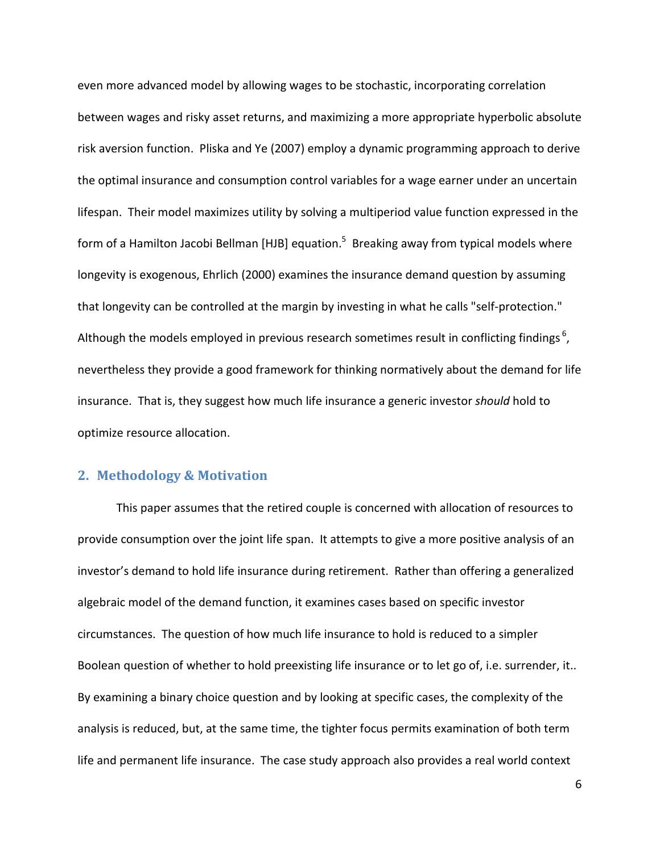even more advanced model by allowing wages to be stochastic, incorporating correlation between wages and risky asset returns, and maximizing a more appropriate hyperbolic absolute risk aversion function. Pliska and Ye (2007) employ a dynamic programming approach to derive the optimal insurance and consumption control variables for a wage earner under an uncertain lifespan. Their model maximizes utility by solving a multiperiod value function expressed in the form of a Hamilton Jacobi Bellman [HJB] equation.<sup>5</sup> Breaking away from typical models where longevity is exogenous, Ehrlich (2000) examines the insurance demand question by assuming that longevity can be controlled at the margin by investing in what he calls "self-protection." Although the models employed in previous research sometimes result in conflicting findings  $6$ , nevertheless they provide a good framework for thinking normatively about the demand for life insurance. That is, they suggest how much life insurance a generic investor *should* hold to optimize resource allocation.

# **2. Methodology & Motivation**

This paper assumes that the retired couple is concerned with allocation of resources to provide consumption over the joint life span. It attempts to give a more positive analysis of an investor's demand to hold life insurance during retirement. Rather than offering a generalized algebraic model of the demand function, it examines cases based on specific investor circumstances. The question of how much life insurance to hold is reduced to a simpler Boolean question of whether to hold preexisting life insurance or to let go of, i.e. surrender, it.. By examining a binary choice question and by looking at specific cases, the complexity of the analysis is reduced, but, at the same time, the tighter focus permits examination of both term life and permanent life insurance. The case study approach also provides a real world context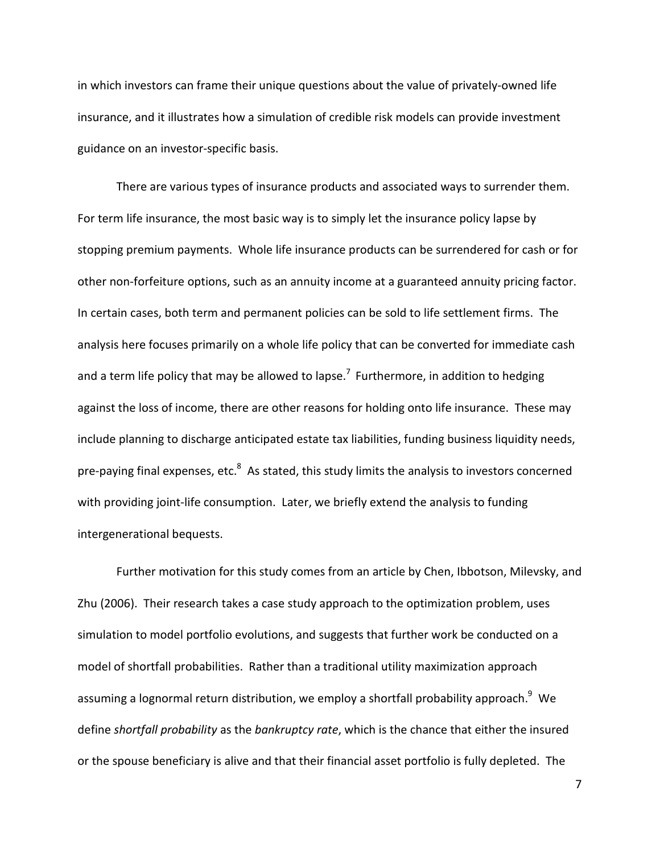in which investors can frame their unique questions about the value of privately-owned life insurance, and it illustrates how a simulation of credible risk models can provide investment guidance on an investor-specific basis.

There are various types of insurance products and associated ways to surrender them. For term life insurance, the most basic way is to simply let the insurance policy lapse by stopping premium payments. Whole life insurance products can be surrendered for cash or for other non-forfeiture options, such as an annuity income at a guaranteed annuity pricing factor. In certain cases, both term and permanent policies can be sold to life settlement firms. The analysis here focuses primarily on a whole life policy that can be converted for immediate cash and a term life policy that may be allowed to lapse.<sup>7</sup> Furthermore, in addition to hedging against the loss of income, there are other reasons for holding onto life insurance. These may include planning to discharge anticipated estate tax liabilities, funding business liquidity needs, pre-paying final expenses, etc. $8\,$  As stated, this study limits the analysis to investors concerned with providing joint-life consumption. Later, we briefly extend the analysis to funding intergenerational bequests.

Further motivation for this study comes from an article by Chen, Ibbotson, Milevsky, and Zhu (2006). Their research takes a case study approach to the optimization problem, uses simulation to model portfolio evolutions, and suggests that further work be conducted on a model of shortfall probabilities. Rather than a traditional utility maximization approach assuming a lognormal return distribution, we employ a shortfall probability approach.<sup>9</sup> We define *shortfall probability* as the *bankruptcy rate*, which is the chance that either the insured or the spouse beneficiary is alive and that their financial asset portfolio is fully depleted. The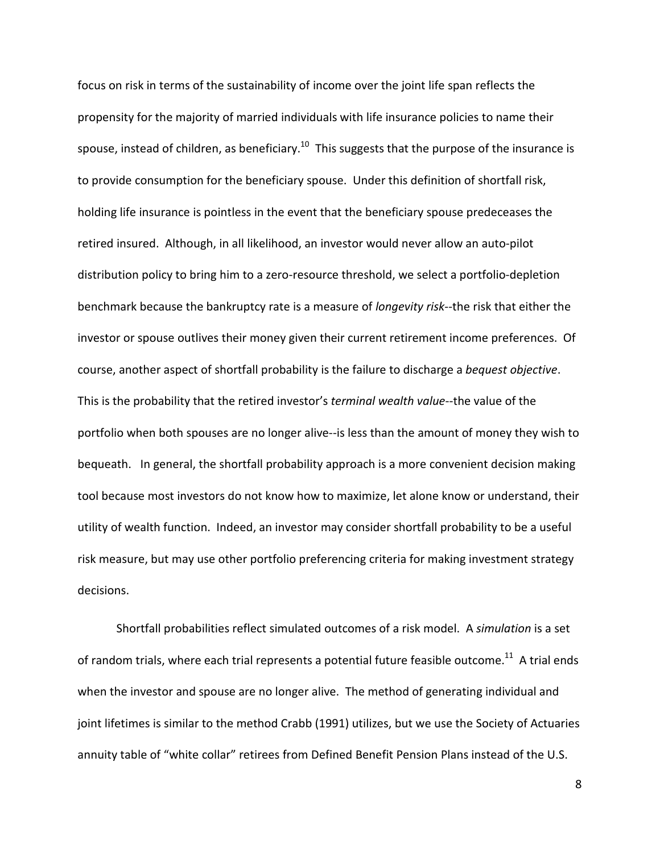focus on risk in terms of the sustainability of income over the joint life span reflects the propensity for the majority of married individuals with life insurance policies to name their spouse, instead of children, as beneficiary.<sup>10</sup> This suggests that the purpose of the insurance is to provide consumption for the beneficiary spouse. Under this definition of shortfall risk, holding life insurance is pointless in the event that the beneficiary spouse predeceases the retired insured. Although, in all likelihood, an investor would never allow an auto-pilot distribution policy to bring him to a zero-resource threshold, we select a portfolio-depletion benchmark because the bankruptcy rate is a measure of *longevity risk*--the risk that either the investor or spouse outlives their money given their current retirement income preferences. Of course, another aspect of shortfall probability is the failure to discharge a *bequest objective*. This is the probability that the retired investor's *terminal wealth value*--the value of the portfolio when both spouses are no longer alive--is less than the amount of money they wish to bequeath. In general, the shortfall probability approach is a more convenient decision making tool because most investors do not know how to maximize, let alone know or understand, their utility of wealth function. Indeed, an investor may consider shortfall probability to be a useful risk measure, but may use other portfolio preferencing criteria for making investment strategy decisions.

Shortfall probabilities reflect simulated outcomes of a risk model. A *simulation* is a set of random trials, where each trial represents a potential future feasible outcome.<sup>11</sup> A trial ends when the investor and spouse are no longer alive. The method of generating individual and joint lifetimes is similar to the method Crabb (1991) utilizes, but we use the Society of Actuaries annuity table of "white collar" retirees from Defined Benefit Pension Plans instead of the U.S.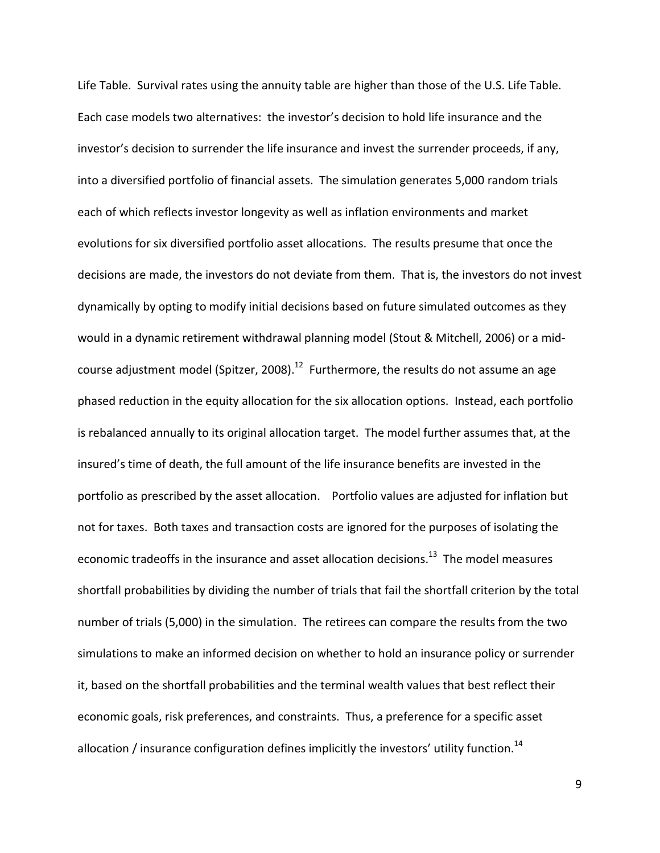Life Table. Survival rates using the annuity table are higher than those of the U.S. Life Table. Each case models two alternatives: the investor's decision to hold life insurance and the investor's decision to surrender the life insurance and invest the surrender proceeds, if any, into a diversified portfolio of financial assets. The simulation generates 5,000 random trials each of which reflects investor longevity as well as inflation environments and market evolutions for six diversified portfolio asset allocations. The results presume that once the decisions are made, the investors do not deviate from them. That is, the investors do not invest dynamically by opting to modify initial decisions based on future simulated outcomes as they would in a dynamic retirement withdrawal planning model (Stout & Mitchell, 2006) or a midcourse adjustment model (Spitzer, 2008).<sup>12</sup> Furthermore, the results do not assume an age phased reduction in the equity allocation for the six allocation options. Instead, each portfolio is rebalanced annually to its original allocation target. The model further assumes that, at the insured's time of death, the full amount of the life insurance benefits are invested in the portfolio as prescribed by the asset allocation. Portfolio values are adjusted for inflation but not for taxes. Both taxes and transaction costs are ignored for the purposes of isolating the economic tradeoffs in the insurance and asset allocation decisions.<sup>13</sup> The model measures shortfall probabilities by dividing the number of trials that fail the shortfall criterion by the total number of trials (5,000) in the simulation. The retirees can compare the results from the two simulations to make an informed decision on whether to hold an insurance policy or surrender it, based on the shortfall probabilities and the terminal wealth values that best reflect their economic goals, risk preferences, and constraints. Thus, a preference for a specific asset allocation / insurance configuration defines implicitly the investors' utility function.<sup>14</sup>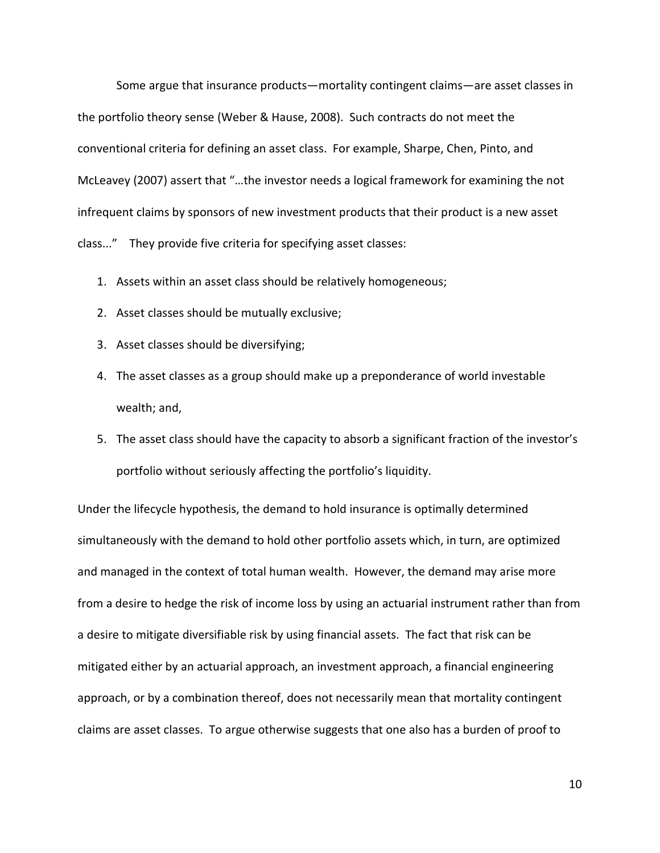Some argue that insurance products—mortality contingent claims—are asset classes in the portfolio theory sense (Weber & Hause, 2008). Such contracts do not meet the conventional criteria for defining an asset class. For example, Sharpe, Chen, Pinto, and McLeavey (2007) assert that "…the investor needs a logical framework for examining the not infrequent claims by sponsors of new investment products that their product is a new asset class..." They provide five criteria for specifying asset classes:

- 1. Assets within an asset class should be relatively homogeneous;
- 2. Asset classes should be mutually exclusive;
- 3. Asset classes should be diversifying;
- 4. The asset classes as a group should make up a preponderance of world investable wealth; and,
- 5. The asset class should have the capacity to absorb a significant fraction of the investor's portfolio without seriously affecting the portfolio's liquidity.

Under the lifecycle hypothesis, the demand to hold insurance is optimally determined simultaneously with the demand to hold other portfolio assets which, in turn, are optimized and managed in the context of total human wealth. However, the demand may arise more from a desire to hedge the risk of income loss by using an actuarial instrument rather than from a desire to mitigate diversifiable risk by using financial assets. The fact that risk can be mitigated either by an actuarial approach, an investment approach, a financial engineering approach, or by a combination thereof, does not necessarily mean that mortality contingent claims are asset classes. To argue otherwise suggests that one also has a burden of proof to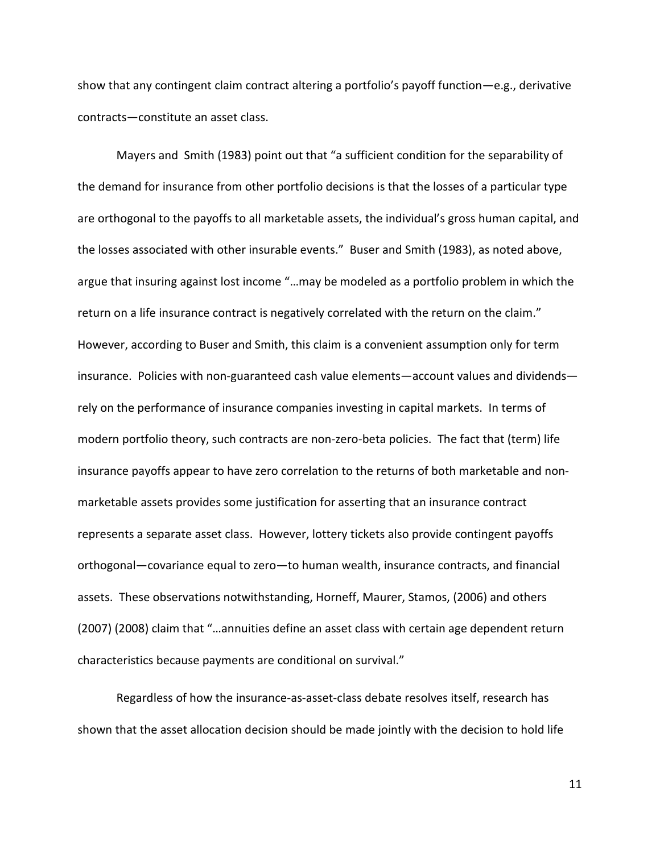show that any contingent claim contract altering a portfolio's payoff function—e.g., derivative contracts—constitute an asset class.

Mayers and Smith (1983) point out that "a sufficient condition for the separability of the demand for insurance from other portfolio decisions is that the losses of a particular type are orthogonal to the payoffs to all marketable assets, the individual's gross human capital, and the losses associated with other insurable events." Buser and Smith (1983), as noted above, argue that insuring against lost income "…may be modeled as a portfolio problem in which the return on a life insurance contract is negatively correlated with the return on the claim." However, according to Buser and Smith, this claim is a convenient assumption only for term insurance. Policies with non-guaranteed cash value elements—account values and dividends rely on the performance of insurance companies investing in capital markets. In terms of modern portfolio theory, such contracts are non-zero-beta policies. The fact that (term) life insurance payoffs appear to have zero correlation to the returns of both marketable and nonmarketable assets provides some justification for asserting that an insurance contract represents a separate asset class. However, lottery tickets also provide contingent payoffs orthogonal—covariance equal to zero—to human wealth, insurance contracts, and financial assets. These observations notwithstanding, Horneff, Maurer, Stamos, (2006) and others (2007) (2008) claim that "…annuities define an asset class with certain age dependent return characteristics because payments are conditional on survival."

Regardless of how the insurance-as-asset-class debate resolves itself, research has shown that the asset allocation decision should be made jointly with the decision to hold life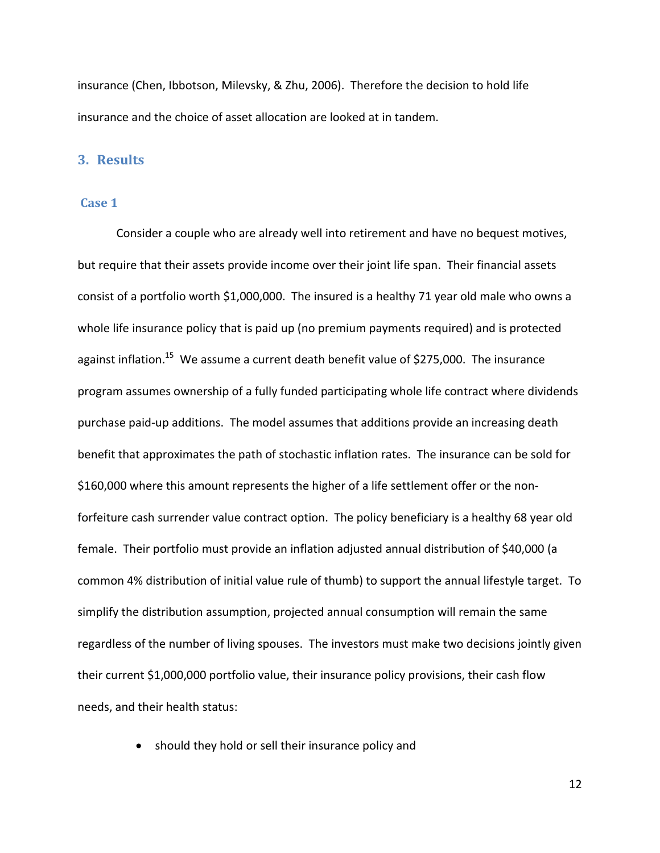insurance (Chen, Ibbotson, Milevsky, & Zhu, 2006). Therefore the decision to hold life insurance and the choice of asset allocation are looked at in tandem.

## **3. Results**

### <span id="page-11-0"></span>**Case 1**

Consider a couple who are already well into retirement and have no bequest motives, but require that their assets provide income over their joint life span. Their financial assets consist of a portfolio worth \$1,000,000. The insured is a healthy 71 year old male who owns a whole life insurance policy that is paid up (no premium payments required) and is protected against inflation.<sup>15</sup> We assume a current death benefit value of \$275,000. The insurance program assumes ownership of a fully funded participating whole life contract where dividends purchase paid-up additions. The model assumes that additions provide an increasing death benefit that approximates the path of stochastic inflation rates. The insurance can be sold for \$160,000 where this amount represents the higher of a life settlement offer or the nonforfeiture cash surrender value contract option. The policy beneficiary is a healthy 68 year old female. Their portfolio must provide an inflation adjusted annual distribution of \$40,000 (a common 4% distribution of initial value rule of thumb) to support the annual lifestyle target. To simplify the distribution assumption, projected annual consumption will remain the same regardless of the number of living spouses. The investors must make two decisions jointly given their current \$1,000,000 portfolio value, their insurance policy provisions, their cash flow needs, and their health status:

• should they hold or sell their insurance policy and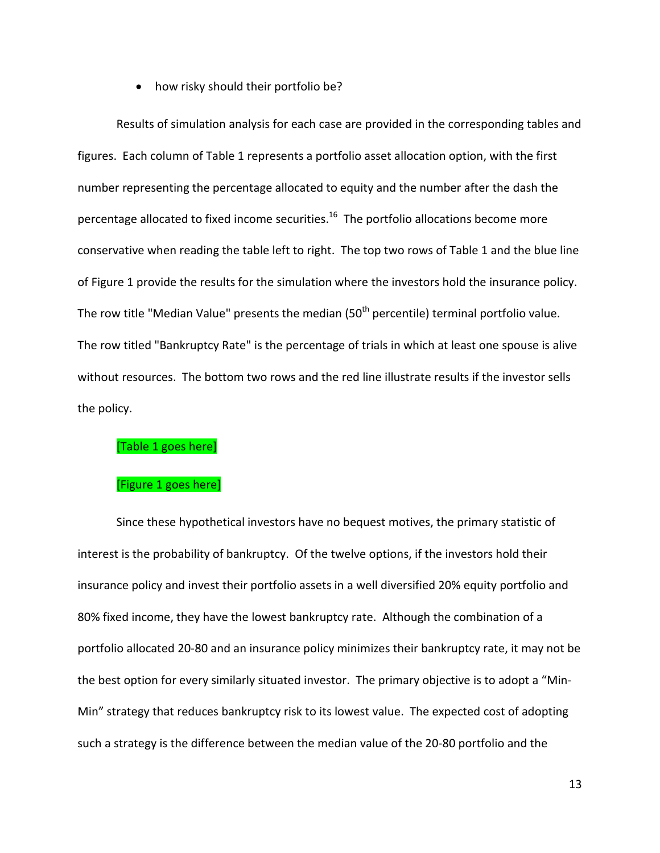• how risky should their portfolio be?

Results of simulation analysis for each case are provided in the corresponding tables and figures. Each column of Table 1 represents a portfolio asset allocation option, with the first number representing the percentage allocated to equity and the number after the dash the percentage allocated to fixed income securities.<sup>16</sup> The portfolio allocations become more conservative when reading the table left to right. The top two rows of Table 1 and the blue line of Figure 1 provide the results for the simulation where the investors hold the insurance policy. The row title "Median Value" presents the median (50<sup>th</sup> percentile) terminal portfolio value. The row titled "Bankruptcy Rate" is the percentage of trials in which at least one spouse is alive without resources. The bottom two rows and the red line illustrate results if the investor sells the policy.

## [\[Table 1](#page-30-0) goes here]

# [\[Figure 1](#page-33-0) goes here]

Since these hypothetical investors have no bequest motives, the primary statistic of interest is the probability of bankruptcy. Of the twelve options, if the investors hold their insurance policy and invest their portfolio assets in a well diversified 20% equity portfolio and 80% fixed income, they have the lowest bankruptcy rate. Although the combination of a portfolio allocated 20-80 and an insurance policy minimizes their bankruptcy rate, it may not be the best option for every similarly situated investor. The primary objective is to adopt a "Min-Min" strategy that reduces bankruptcy risk to its lowest value. The expected cost of adopting such a strategy is the difference between the median value of the 20-80 portfolio and the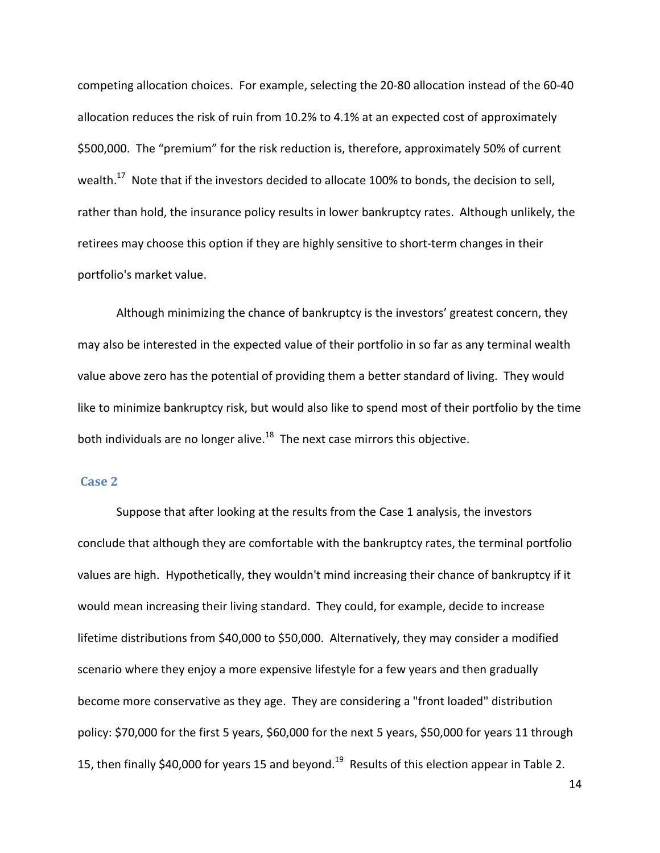competing allocation choices. For example, selecting the 20-80 allocation instead of the 60-40 allocation reduces the risk of ruin from 10.2% to 4.1% at an expected cost of approximately \$500,000. The "premium" for the risk reduction is, therefore, approximately 50% of current wealth.<sup>17</sup> Note that if the investors decided to allocate 100% to bonds, the decision to sell, rather than hold, the insurance policy results in lower bankruptcy rates. Although unlikely, the retirees may choose this option if they are highly sensitive to short-term changes in their portfolio's market value.

Although minimizing the chance of bankruptcy is the investors' greatest concern, they may also be interested in the expected value of their portfolio in so far as any terminal wealth value above zero has the potential of providing them a better standard of living. They would like to minimize bankruptcy risk, but would also like to spend most of their portfolio by the time both individuals are no longer alive.<sup>18</sup> The next case mirrors this objective.

### **Case 2**

Suppose that after looking at the results from the Case 1 analysis, the investors conclude that although they are comfortable with the bankruptcy rates, the terminal portfolio values are high. Hypothetically, they wouldn't mind increasing their chance of bankruptcy if it would mean increasing their living standard. They could, for example, decide to increase lifetime distributions from \$40,000 to \$50,000. Alternatively, they may consider a modified scenario where they enjoy a more expensive lifestyle for a few years and then gradually become more conservative as they age. They are considering a "front loaded" distribution policy: \$70,000 for the first 5 years, \$60,000 for the next 5 years, \$50,000 for years 11 through 15, then finally \$40,000 for years 15 and beyond.<sup>19</sup> Results of this election appear in Table 2.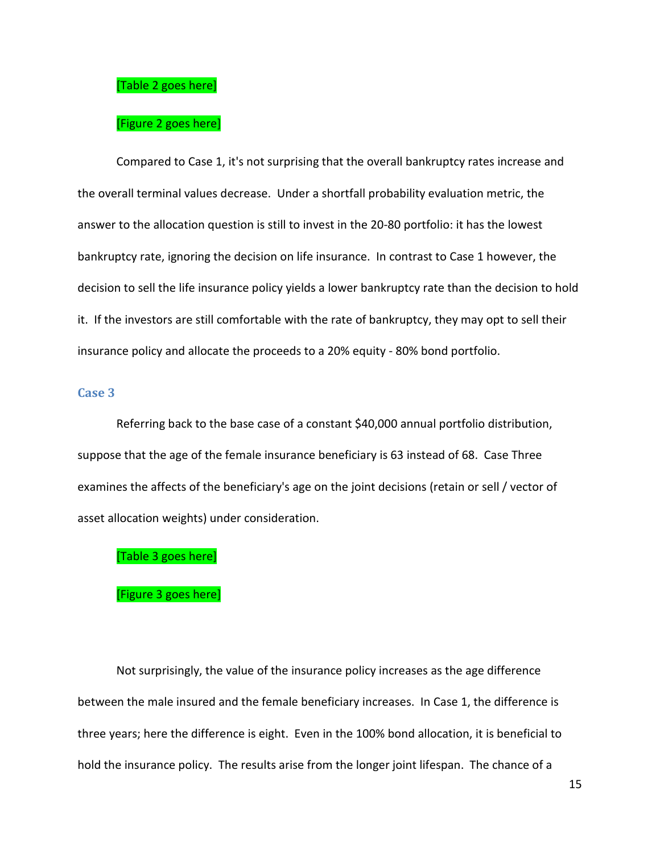#### [\[Table 2](#page-30-1) goes here]

#### [\[Figure 2](#page-34-0) goes here]

Compared to Case 1, it's not surprising that the overall bankruptcy rates increase and the overall terminal values decrease. Under a shortfall probability evaluation metric, the answer to the allocation question is still to invest in the 20-80 portfolio: it has the lowest bankruptcy rate, ignoring the decision on life insurance. In contrast to Case 1 however, the decision to sell the life insurance policy yields a lower bankruptcy rate than the decision to hold it. If the investors are still comfortable with the rate of bankruptcy, they may opt to sell their insurance policy and allocate the proceeds to a 20% equity - 80% bond portfolio.

# **Case 3**

Referring back to the base case of a constant \$40,000 annual portfolio distribution, suppose that the age of the female insurance beneficiary is 63 instead of 68. Case Three examines the affects of the beneficiary's age on the joint decisions (retain or sell / vector of asset allocation weights) under consideration.

#### [\[Table 3](#page-30-2) goes here]

#### [\[Figure 3](#page-34-1) goes here]

Not surprisingly, the value of the insurance policy increases as the age difference between the male insured and the female beneficiary increases. In Case 1, the difference is three years; here the difference is eight. Even in the 100% bond allocation, it is beneficial to hold the insurance policy. The results arise from the longer joint lifespan. The chance of a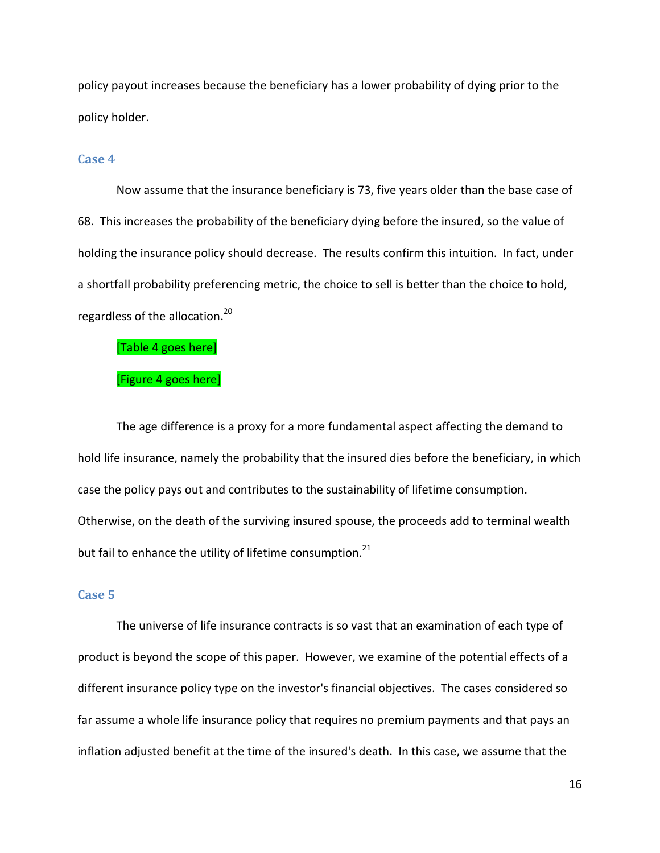policy payout increases because the beneficiary has a lower probability of dying prior to the policy holder.

#### <span id="page-15-0"></span>**Case 4**

Now assume that the insurance beneficiary is 73, five years older than the base case of 68. This increases the probability of the beneficiary dying before the insured, so the value of holding the insurance policy should decrease. The results confirm this intuition. In fact, under a shortfall probability preferencing metric, the choice to sell is better than the choice to hold, regardless of the allocation.<sup>20</sup>

[\[Table 4](#page-30-3) goes here]

### [\[Figure 4](#page-35-0) goes here]

The age difference is a proxy for a more fundamental aspect affecting the demand to hold life insurance, namely the probability that the insured dies before the beneficiary, in which case the policy pays out and contributes to the sustainability of lifetime consumption. Otherwise, on the death of the surviving insured spouse, the proceeds add to terminal wealth but fail to enhance the utility of lifetime consumption. $^{21}$ 

## **Case 5**

The universe of life insurance contracts is so vast that an examination of each type of product is beyond the scope of this paper. However, we examine of the potential effects of a different insurance policy type on the investor's financial objectives. The cases considered so far assume a whole life insurance policy that requires no premium payments and that pays an inflation adjusted benefit at the time of the insured's death. In this case, we assume that the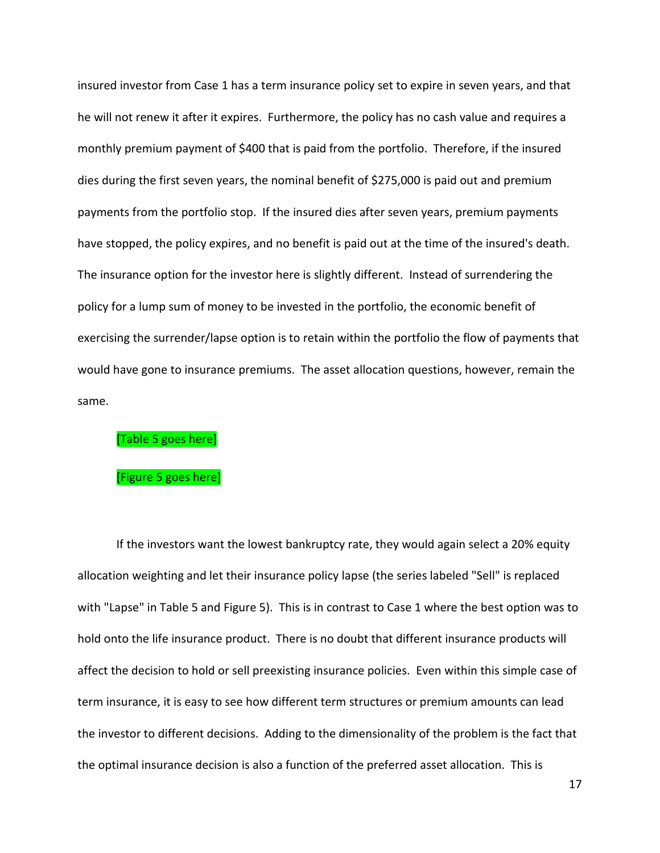insured investor from Case 1 has a term insurance policy set to expire in seven years, and that he will not renew it after it expires. Furthermore, the policy has no cash value and requires a monthly premium payment of \$400 that is paid from the portfolio. Therefore, if the insured dies during the first seven years, the nominal benefit of \$275,000 is paid out and premium payments from the portfolio stop. If the insured dies after seven years, premium payments have stopped, the policy expires, and no benefit is paid out at the time of the insured's death. The insurance option for the investor here is slightly different. Instead of surrendering the policy for a lump sum of money to be invested in the portfolio, the economic benefit of exercising the surrender/lapse option is to retain within the portfolio the flow of payments that would have gone to insurance premiums. The asset allocation questions, however, remain the same.

### [\[Table 5](#page-31-0) goes here]

#### [\[Figure 5](#page-35-1) goes here]

If the investors want the lowest bankruptcy rate, they would again select a 20% equity allocation weighting and let their insurance policy lapse (the series labeled "Sell" is replaced with "Lapse" in Table 5 and Figure 5). This is in contrast to Case 1 where the best option was to hold onto the life insurance product. There is no doubt that different insurance products will affect the decision to hold or sell preexisting insurance policies. Even within this simple case of term insurance, it is easy to see how different term structures or premium amounts can lead the investor to different decisions. Adding to the dimensionality of the problem is the fact that the optimal insurance decision is also a function of the preferred asset allocation. This is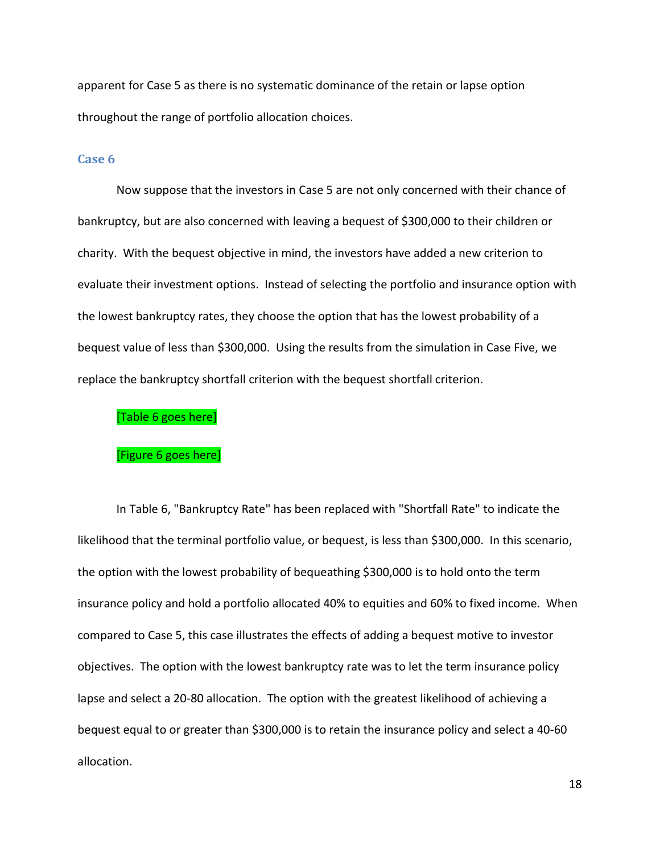apparent for Case 5 as there is no systematic dominance of the retain or lapse option throughout the range of portfolio allocation choices.

#### **Case 6**

Now suppose that the investors in Case 5 are not only concerned with their chance of bankruptcy, but are also concerned with leaving a bequest of \$300,000 to their children or charity. With the bequest objective in mind, the investors have added a new criterion to evaluate their investment options. Instead of selecting the portfolio and insurance option with the lowest bankruptcy rates, they choose the option that has the lowest probability of a bequest value of less than \$300,000. Using the results from the simulation in Case Five, we replace the bankruptcy shortfall criterion with the bequest shortfall criterion.

#### [\[Table 6](#page-31-1) goes here]

#### [\[Figure 6](#page-36-0) goes here]

In Table 6, "Bankruptcy Rate" has been replaced with "Shortfall Rate" to indicate the likelihood that the terminal portfolio value, or bequest, is less than \$300,000. In this scenario, the option with the lowest probability of bequeathing \$300,000 is to hold onto the term insurance policy and hold a portfolio allocated 40% to equities and 60% to fixed income. When compared to Case 5, this case illustrates the effects of adding a bequest motive to investor objectives. The option with the lowest bankruptcy rate was to let the term insurance policy lapse and select a 20-80 allocation. The option with the greatest likelihood of achieving a bequest equal to or greater than \$300,000 is to retain the insurance policy and select a 40-60 allocation.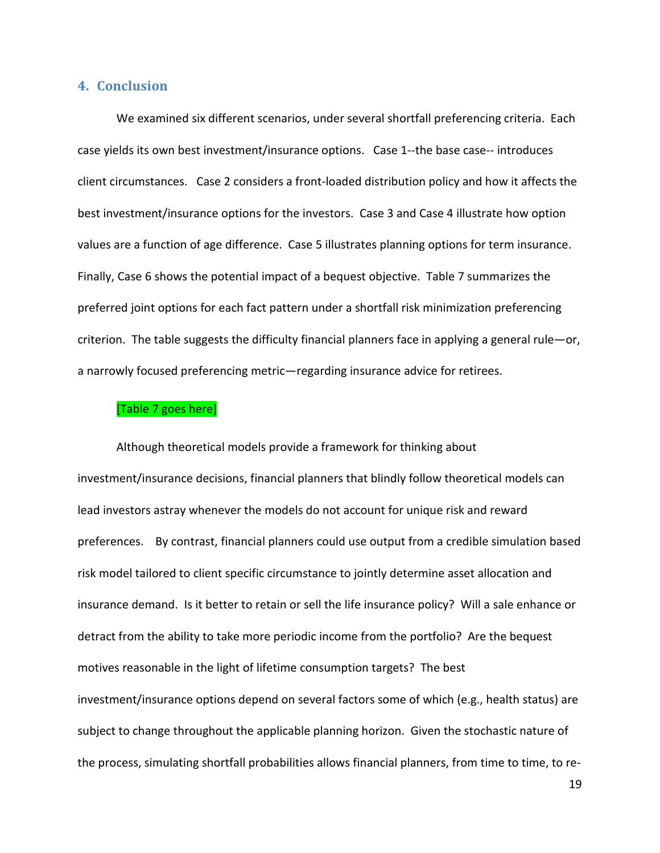## **4. Conclusion**

We examined six different scenarios, under several shortfall preferencing criteria. Each case yields its own best investment/insurance options. Case 1--the base case-- introduces client circumstances. Case 2 considers a front-loaded distribution policy and how it affects the best investment/insurance options for the investors. Case 3 and Case 4 illustrate how option values are a function of age difference. Case 5 illustrates planning options for term insurance. Finally, Case 6 shows the potential impact of a bequest objective. Table 7 summarizes the preferred joint options for each fact pattern under a shortfall risk minimization preferencing criterion. The table suggests the difficulty financial planners face in applying a general rule—or, a narrowly focused preferencing metric—regarding insurance advice for retirees.

## [\[Table 7](#page-31-2) goes here]

Although theoretical models provide a framework for thinking about investment/insurance decisions, financial planners that blindly follow theoretical models can lead investors astray whenever the models do not account for unique risk and reward preferences. By contrast, financial planners could use output from a credible simulation based risk model tailored to client specific circumstance to jointly determine asset allocation and insurance demand. Is it better to retain or sell the life insurance policy? Will a sale enhance or detract from the ability to take more periodic income from the portfolio? Are the bequest motives reasonable in the light of lifetime consumption targets? The best investment/insurance options depend on several factors some of which (e.g., health status) are subject to change throughout the applicable planning horizon. Given the stochastic nature of the process, simulating shortfall probabilities allows financial planners, from time to time, to re-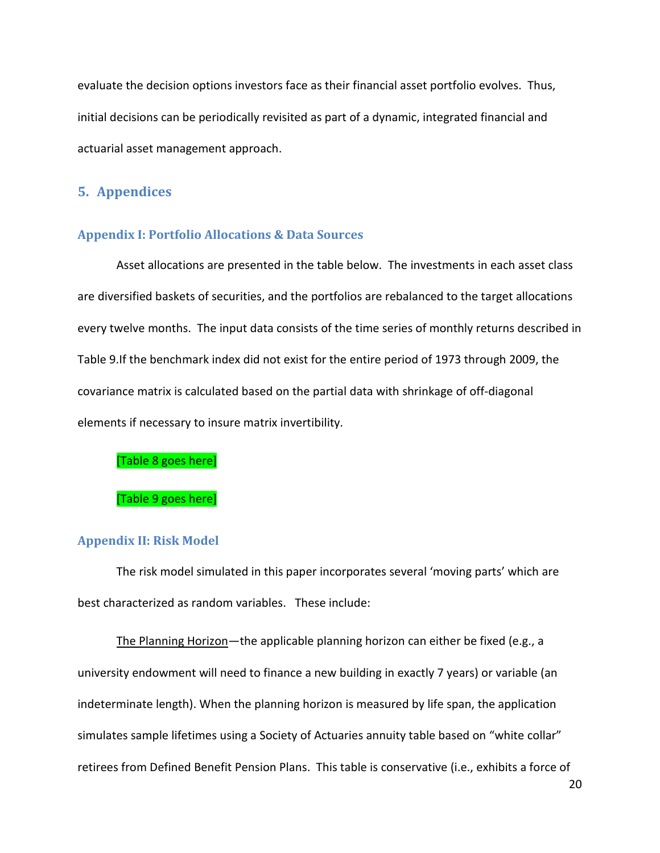evaluate the decision options investors face as their financial asset portfolio evolves. Thus, initial decisions can be periodically revisited as part of a dynamic, integrated financial and actuarial asset management approach.

# **5. Appendices**

#### **Appendix I: Portfolio Allocations & Data Sources**

Asset allocations are presented in the table below. The investments in each asset class are diversified baskets of securities, and the portfolios are rebalanced to the target allocations every twelve months. The input data consists of the time series of monthly returns described in [Table 9.](#page-33-1)If the benchmark index did not exist for the entire period of 1973 through 2009, the covariance matrix is calculated based on the partial data with shrinkage of off-diagonal elements if necessary to insure matrix invertibility.

[\[Table 8](#page-32-0) goes here]

#### [\[Table 9](#page-33-1) goes here]

#### **Appendix II: Risk Model**

The risk model simulated in this paper incorporates several 'moving parts' which are best characterized as random variables. These include:

The Planning Horizon-the applicable planning horizon can either be fixed (e.g., a university endowment will need to finance a new building in exactly 7 years) or variable (an indeterminate length). When the planning horizon is measured by life span, the application simulates sample lifetimes using a Society of Actuaries annuity table based on "white collar" retirees from Defined Benefit Pension Plans. This table is conservative (i.e., exhibits a force of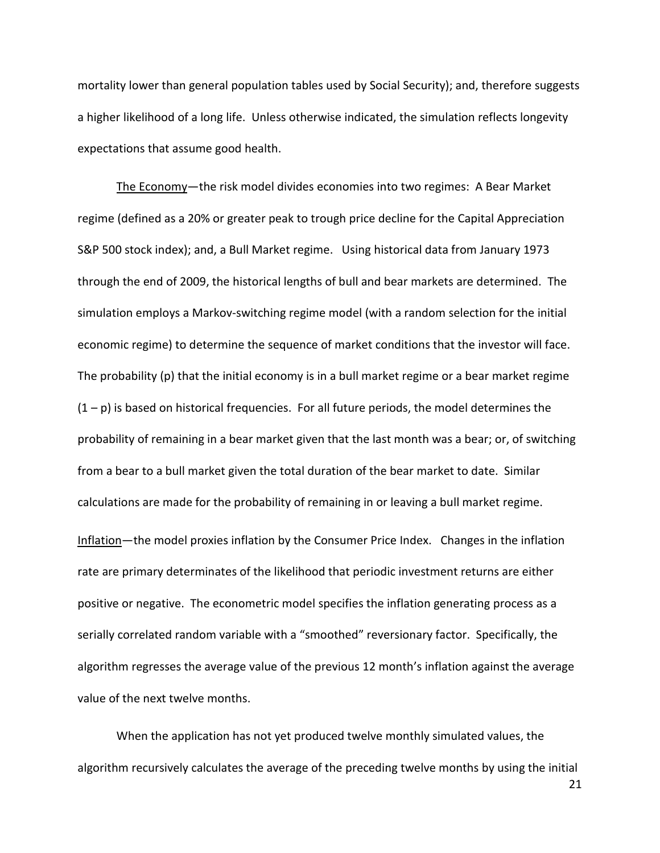mortality lower than general population tables used by Social Security); and, therefore suggests a higher likelihood of a long life. Unless otherwise indicated, the simulation reflects longevity expectations that assume good health.

The Economy—the risk model divides economies into two regimes: A Bear Market regime (defined as a 20% or greater peak to trough price decline for the Capital Appreciation S&P 500 stock index); and, a Bull Market regime. Using historical data from January 1973 through the end of 2009, the historical lengths of bull and bear markets are determined. The simulation employs a Markov-switching regime model (with a random selection for the initial economic regime) to determine the sequence of market conditions that the investor will face. The probability (p) that the initial economy is in a bull market regime or a bear market regime  $(1 - p)$  is based on historical frequencies. For all future periods, the model determines the probability of remaining in a bear market given that the last month was a bear; or, of switching from a bear to a bull market given the total duration of the bear market to date. Similar calculations are made for the probability of remaining in or leaving a bull market regime. Inflation—the model proxies inflation by the Consumer Price Index. Changes in the inflation rate are primary determinates of the likelihood that periodic investment returns are either positive or negative. The econometric model specifies the inflation generating process as a serially correlated random variable with a "smoothed" reversionary factor. Specifically, the algorithm regresses the average value of the previous 12 month's inflation against the average

value of the next twelve months.

When the application has not yet produced twelve monthly simulated values, the algorithm recursively calculates the average of the preceding twelve months by using the initial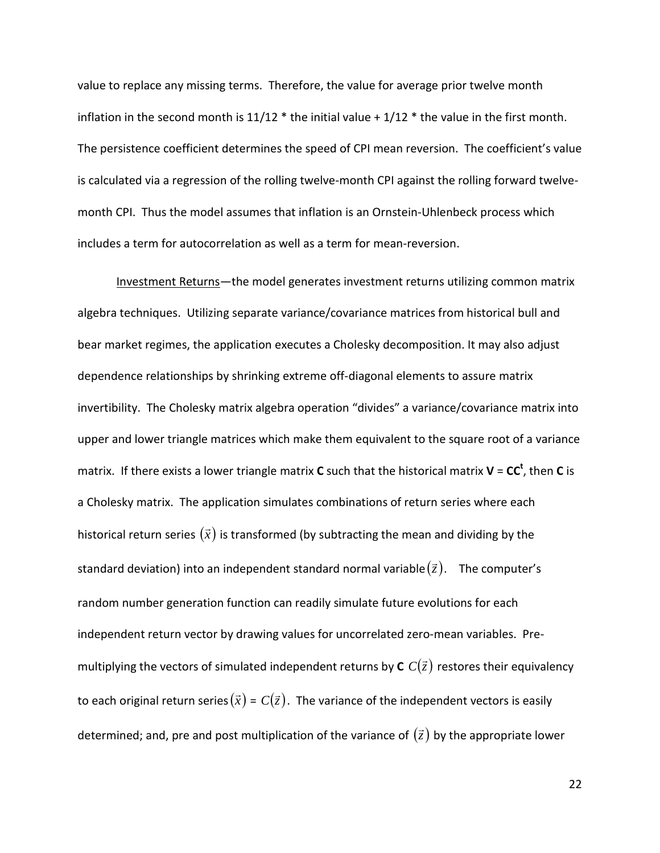value to replace any missing terms. Therefore, the value for average prior twelve month inflation in the second month is  $11/12$  \* the initial value +  $1/12$  \* the value in the first month. The persistence coefficient determines the speed of CPI mean reversion. The coefficient's value is calculated via a regression of the rolling twelve-month CPI against the rolling forward twelvemonth CPI. Thus the model assumes that inflation is an Ornstein-Uhlenbeck process which includes a term for autocorrelation as well as a term for mean-reversion.

Investment Returns—the model generates investment returns utilizing common matrix algebra techniques. Utilizing separate variance/covariance matrices from historical bull and bear market regimes, the application executes a Cholesky decomposition. It may also adjust dependence relationships by shrinking extreme off-diagonal elements to assure matrix invertibility. The Cholesky matrix algebra operation "divides" a variance/covariance matrix into upper and lower triangle matrices which make them equivalent to the square root of a variance matrix. If there exists a lower triangle matrix **C** such that the historical matrix **V** = **CC<sup>t</sup>** , then **C** is a Cholesky matrix. The application simulates combinations of return series where each historical return series  $(\vec{x})$  is transformed (by subtracting the mean and dividing by the standard deviation) into an independent standard normal variable  $(\vec{z})$ . The computer's random number generation function can readily simulate future evolutions for each independent return vector by drawing values for uncorrelated zero-mean variables. Premultiplying the vectors of simulated independent returns by  $\mathbf{c}$   $C(\vec{z})$  restores their equivalency to each original return series $(\vec{x}) = C(\vec{z})$ . The variance of the independent vectors is easily determined; and, pre and post multiplication of the variance of  $(\vec{z})$  by the appropriate lower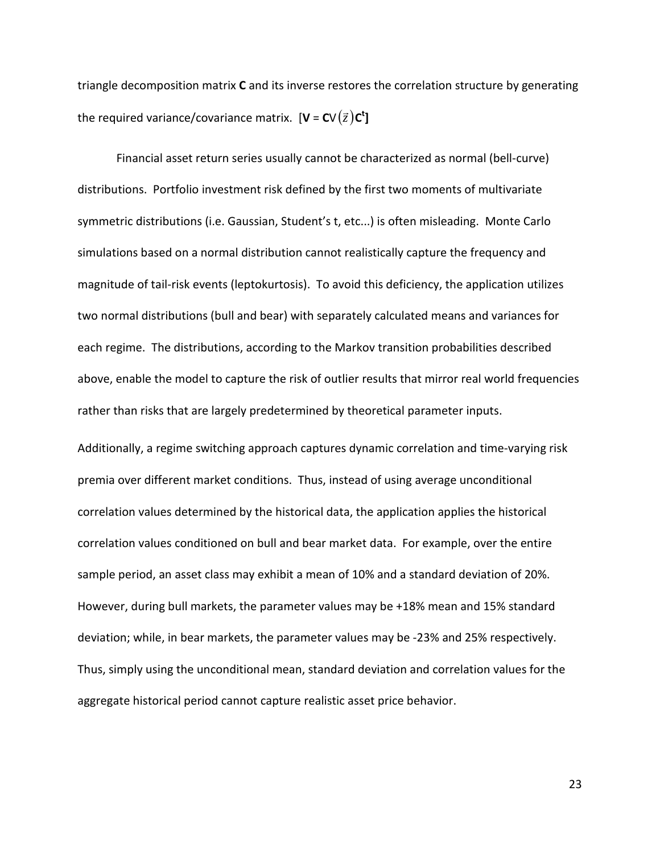triangle decomposition matrix **C** and its inverse restores the correlation structure by generating the required variance/covariance matrix.  $[\mathbf{V} = \mathbf{C} \mathbf{V}(\bar{z}) \mathbf{C}^{\dagger}]$ 

Financial asset return series usually cannot be characterized as normal (bell-curve) distributions. Portfolio investment risk defined by the first two moments of multivariate symmetric distributions (i.e. Gaussian, Student's t, etc...) is often misleading. Monte Carlo simulations based on a normal distribution cannot realistically capture the frequency and magnitude of tail-risk events (leptokurtosis). To avoid this deficiency, the application utilizes two normal distributions (bull and bear) with separately calculated means and variances for each regime. The distributions, according to the Markov transition probabilities described above, enable the model to capture the risk of outlier results that mirror real world frequencies rather than risks that are largely predetermined by theoretical parameter inputs.

Additionally, a regime switching approach captures dynamic correlation and time-varying risk premia over different market conditions. Thus, instead of using average unconditional correlation values determined by the historical data, the application applies the historical correlation values conditioned on bull and bear market data. For example, over the entire sample period, an asset class may exhibit a mean of 10% and a standard deviation of 20%. However, during bull markets, the parameter values may be +18% mean and 15% standard deviation; while, in bear markets, the parameter values may be -23% and 25% respectively. Thus, simply using the unconditional mean, standard deviation and correlation values for the aggregate historical period cannot capture realistic asset price behavior.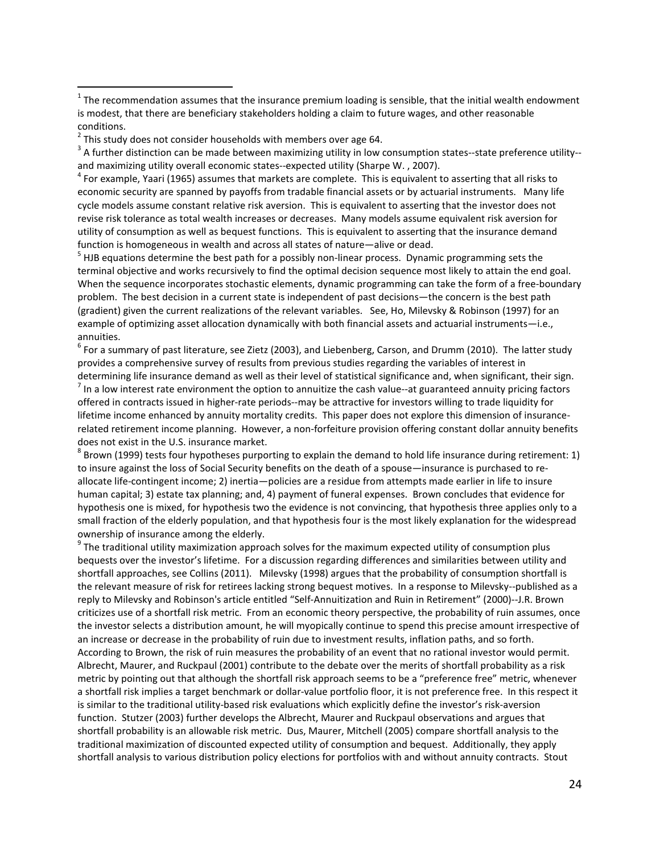<sup>2</sup> This study does not consider households with members over age 64.<br><sup>3</sup> A further distinction can be made between maximizing utility in low consumption states--state preference utility-and maximizing utility overall economic states--expected utility (Sharpe W., 2007).<br><sup>4</sup> For example, Yaari (1965) assumes that markets are complete. This is equivalent to asserting that all risks to

economic security are spanned by payoffs from tradable financial assets or by actuarial instruments. Many life cycle models assume constant relative risk aversion. This is equivalent to asserting that the investor does not revise risk tolerance as total wealth increases or decreases. Many models assume equivalent risk aversion for utility of consumption as well as bequest functions. This is equivalent to asserting that the insurance demand

function is homogeneous in wealth and across all states of nature—alive or dead.<br><sup>5</sup> HJB equations determine the best path for a possibly non-linear process. Dynamic programming sets the terminal objective and works recursively to find the optimal decision sequence most likely to attain the end goal. When the sequence incorporates stochastic elements, dynamic programming can take the form of a free-boundary problem. The best decision in a current state is independent of past decisions—the concern is the best path (gradient) given the current realizations of the relevant variables. See, Ho, Milevsky & Robinson (1997) for an example of optimizing asset allocation dynamically with both financial assets and actuarial instruments—i.e., annuities.

 $6$  For a summary of past literature, see Zietz (2003), and Liebenberg, Carson, and Drumm (2010). The latter study provides a comprehensive survey of results from previous studies regarding the variables of interest in

determining life insurance demand as well as their level of statistical significance and, when significant, their sign.<br><sup>7</sup> In a low interest rate environment the option to annuitize the cash value--at guaranteed annuity offered in contracts issued in higher-rate periods--may be attractive for investors willing to trade liquidity for lifetime income enhanced by annuity mortality credits. This paper does not explore this dimension of insurancerelated retirement income planning. However, a non-forfeiture provision offering constant dollar annuity benefits does not exist in the U.S. insurance market.<br><sup>8</sup> Brown (1999) tests four hypotheses purporting to explain the demand to hold life insurance during retirement: 1)

to insure against the loss of Social Security benefits on the death of a spouse—insurance is purchased to reallocate life-contingent income; 2) inertia—policies are a residue from attempts made earlier in life to insure human capital; 3) estate tax planning; and, 4) payment of funeral expenses. Brown concludes that evidence for hypothesis one is mixed, for hypothesis two the evidence is not convincing, that hypothesis three applies only to a small fraction of the elderly population, and that hypothesis four is the most likely explanation for the widespread ownership of insurance among the elderly.<br><sup>9</sup> The traditional utility maximization approach solves for the maximum expected utility of consumption plus

bequests over the investor's lifetime. For a discussion regarding differences and similarities between utility and shortfall approaches, see Collins (2011). Milevsky (1998) argues that the probability of consumption shortfall is the relevant measure of risk for retirees lacking strong bequest motives. In a response to Milevsky--published as a reply to Milevsky and Robinson's article entitled "Self-Annuitization and Ruin in Retirement" (2000)--J.R. Brown criticizes use of a shortfall risk metric. From an economic theory perspective, the probability of ruin assumes, once the investor selects a distribution amount, he will myopically continue to spend this precise amount irrespective of an increase or decrease in the probability of ruin due to investment results, inflation paths, and so forth. According to Brown, the risk of ruin measures the probability of an event that no rational investor would permit. Albrecht, Maurer, and Ruckpaul (2001) contribute to the debate over the merits of shortfall probability as a risk metric by pointing out that although the shortfall risk approach seems to be a "preference free" metric, whenever a shortfall risk implies a target benchmark or dollar-value portfolio floor, it is not preference free. In this respect it is similar to the traditional utility-based risk evaluations which explicitly define the investor's risk-aversion function. Stutzer (2003) further develops the Albrecht, Maurer and Ruckpaul observations and argues that shortfall probability is an allowable risk metric. Dus, Maurer, Mitchell (2005) compare shortfall analysis to the traditional maximization of discounted expected utility of consumption and bequest. Additionally, they apply shortfall analysis to various distribution policy elections for portfolios with and without annuity contracts. Stout

 $1$  The recommendation assumes that the insurance premium loading is sensible, that the initial wealth endowment is modest, that there are beneficiary stakeholders holding a claim to future wages, and other reasonable conditions.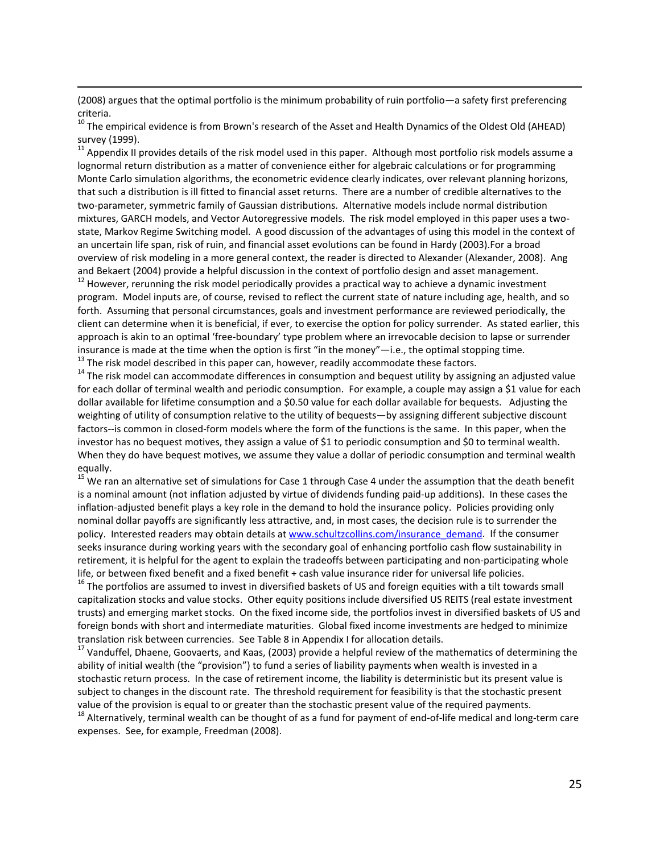(2008) argues that the optimal portfolio is the minimum probability of ruin portfolio—a safety first preferencing criteria.

l

<sup>10</sup> The empirical evidence is from Brown's research of the Asset and Health Dynamics of the Oldest Old (AHEAD) survey (1999).

<sup>11</sup> Appendix II provides details of the risk model used in this paper. Although most portfolio risk models assume a lognormal return distribution as a matter of convenience either for algebraic calculations or for programming Monte Carlo simulation algorithms, the econometric evidence clearly indicates, over relevant planning horizons, that such a distribution is ill fitted to financial asset returns. There are a number of credible alternatives to the two-parameter, symmetric family of Gaussian distributions. Alternative models include normal distribution mixtures, GARCH models, and Vector Autoregressive models. The risk model employed in this paper uses a twostate, Markov Regime Switching model. A good discussion of the advantages of using this model in the context of an uncertain life span, risk of ruin, and financial asset evolutions can be found in Hardy (2003).For a broad overview of risk modeling in a more general context, the reader is directed to Alexander (Alexander, 2008). Ang and Bekaert (2004) provide a helpful discussion in the context of portfolio design and asset management.

 $12$  However, rerunning the risk model periodically provides a practical way to achieve a dynamic investment program. Model inputs are, of course, revised to reflect the current state of nature including age, health, and so forth. Assuming that personal circumstances, goals and investment performance are reviewed periodically, the client can determine when it is beneficial, if ever, to exercise the option for policy surrender. As stated earlier, this approach is akin to an optimal 'free-boundary' type problem where an irrevocable decision to lapse or surrender insurance is made at the time when the option is first "in the money"—i.e., the optimal stopping time.<br><sup>13</sup> The risk model described in this paper can, however, readily accommodate these factors.<br><sup>14</sup> The risk model can a

for each dollar of terminal wealth and periodic consumption. For example, a couple may assign a \$1 value for each dollar available for lifetime consumption and a \$0.50 value for each dollar available for bequests. Adjusting the weighting of utility of consumption relative to the utility of bequests—by assigning different subjective discount factors--is common in closed-form models where the form of the functions is the same. In this paper, when the investor has no bequest motives, they assign a value of \$1 to periodic consumption and \$0 to terminal wealth. When they do have bequest motives, we assume they value a dollar of periodic consumption and terminal wealth equally.

 $15$  We ran an alternative set of simulations for [Case 1](#page-11-0) through [Case 4](#page-15-0) under the assumption that the death benefit is a nominal amount (not inflation adjusted by virtue of dividends funding paid-up additions). In these cases the inflation-adjusted benefit plays a key role in the demand to hold the insurance policy. Policies providing only nominal dollar payoffs are significantly less attractive, and, in most cases, the decision rule is to surrender the policy. Interested readers may obtain details at [www.schultzcollins.com/insurance\\_demand.](http://www.schultzcollins.com/insurance_demand) If the consumer seeks insurance during working years with the secondary goal of enhancing portfolio cash flow sustainability in retirement, it is helpful for the agent to explain the tradeoffs between participating and non-participating whole life, or between fixed benefit and a fixed benefit + cash value insurance rider for universal life policies.<br><sup>16</sup> The portfolios are assumed to invest in diversified baskets of US and foreign equities with a tilt towards

capitalization stocks and value stocks. Other equity positions include diversified US REITS (real estate investment trusts) and emerging market stocks. On the fixed income side, the portfolios invest in diversified baskets of US and foreign bonds with short and intermediate maturities. Global fixed income investments are hedged to minimize

translation risk between currencies. See Table 8 in Appendix I for allocation details.<br><sup>17</sup> Vanduffel, Dhaene, Goovaerts, and Kaas, (2003) provide a helpful review of the mathematics of determining the ability of initial wealth (the "provision") to fund a series of liability payments when wealth is invested in a stochastic return process. In the case of retirement income, the liability is deterministic but its present value is subject to changes in the discount rate. The threshold requirement for feasibility is that the stochastic present value of the provision is equal to or greater than the stochastic present value of the required payments.<br><sup>18</sup> Alternatively, terminal wealth can be thought of as a fund for payment of end-of-life medical and long-term car

expenses. See, for example, Freedman (2008).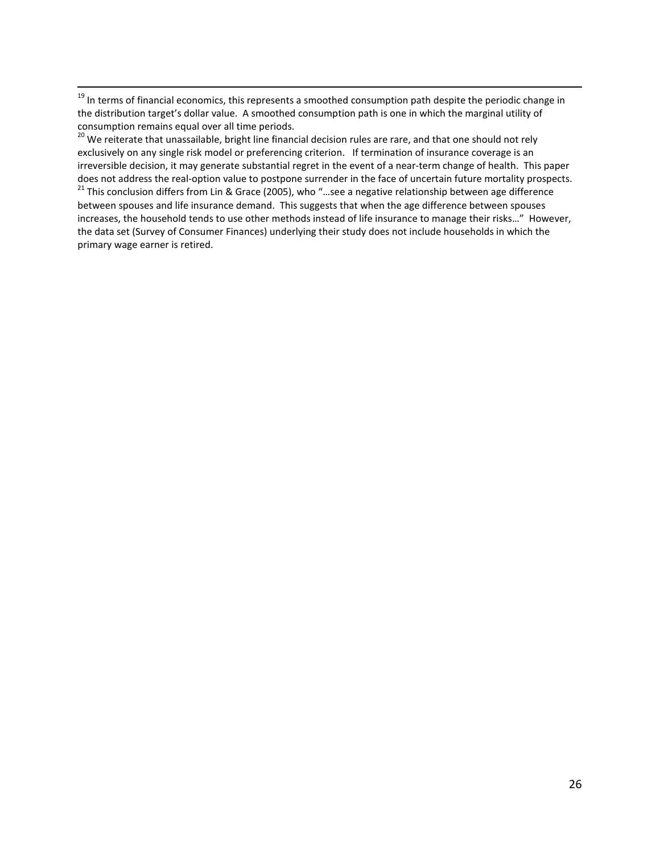$19$  In terms of financial economics, this represents a smoothed consumption path despite the periodic change in the distribution target's dollar value. A smoothed consumption path is one in which the marginal utility of consumption remains equal over all time periods.

<sup>20</sup> We reiterate that unassailable, bright line financial decision rules are rare, and that one should not rely exclusively on any single risk model or preferencing criterion. If termination of insurance coverage is an irreversible decision, it may generate substantial regret in the event of a near-term change of health. This paper does not address the real-option value to postpone surrender in the face of uncertain future mortality prospects.<br><sup>21</sup> This conclusion differs from Lin & Grace (2005), who "...see a negative relationship between age diffe between spouses and life insurance demand. This suggests that when the age difference between spouses increases, the household tends to use other methods instead of life insurance to manage their risks…" However, the data set (Survey of Consumer Finances) underlying their study does not include households in which the primary wage earner is retired.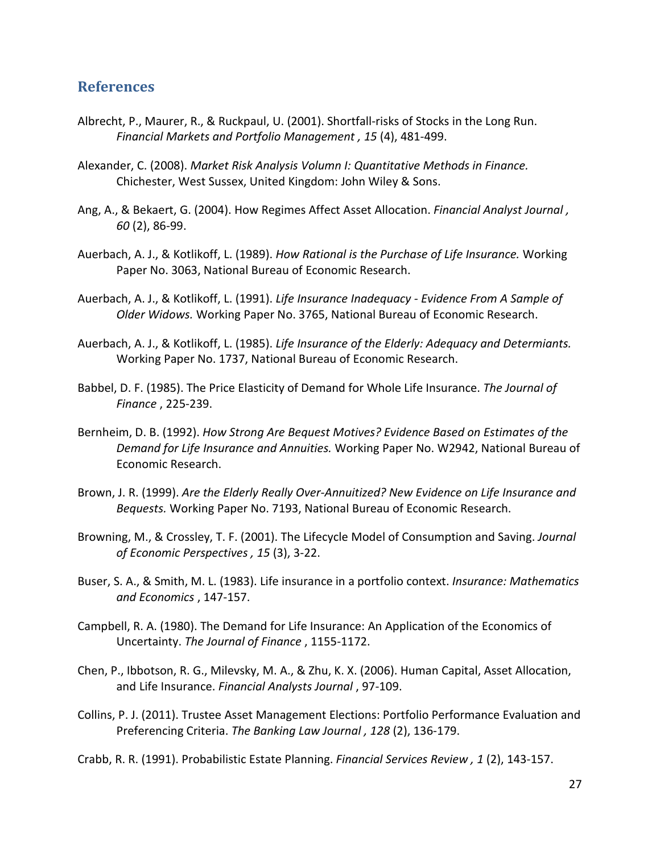# **References**

- Albrecht, P., Maurer, R., & Ruckpaul, U. (2001). Shortfall-risks of Stocks in the Long Run. *Financial Markets and Portfolio Management , 15* (4), 481-499.
- Alexander, C. (2008). *Market Risk Analysis Volumn I: Quantitative Methods in Finance.* Chichester, West Sussex, United Kingdom: John Wiley & Sons.
- Ang, A., & Bekaert, G. (2004). How Regimes Affect Asset Allocation. *Financial Analyst Journal , 60* (2), 86-99.
- Auerbach, A. J., & Kotlikoff, L. (1989). *How Rational is the Purchase of Life Insurance.* Working Paper No. 3063, National Bureau of Economic Research.
- Auerbach, A. J., & Kotlikoff, L. (1991). *Life Insurance Inadequacy - Evidence From A Sample of Older Widows.* Working Paper No. 3765, National Bureau of Economic Research.
- Auerbach, A. J., & Kotlikoff, L. (1985). *Life Insurance of the Elderly: Adequacy and Determiants.* Working Paper No. 1737, National Bureau of Economic Research.
- Babbel, D. F. (1985). The Price Elasticity of Demand for Whole Life Insurance. *The Journal of Finance* , 225-239.
- Bernheim, D. B. (1992). *How Strong Are Bequest Motives? Evidence Based on Estimates of the Demand for Life Insurance and Annuities.* Working Paper No. W2942, National Bureau of Economic Research.
- Brown, J. R. (1999). *Are the Elderly Really Over-Annuitized? New Evidence on Life Insurance and Bequests.* Working Paper No. 7193, National Bureau of Economic Research.
- Browning, M., & Crossley, T. F. (2001). The Lifecycle Model of Consumption and Saving. *Journal of Economic Perspectives , 15* (3), 3-22.
- Buser, S. A., & Smith, M. L. (1983). Life insurance in a portfolio context. *Insurance: Mathematics and Economics* , 147-157.
- Campbell, R. A. (1980). The Demand for Life Insurance: An Application of the Economics of Uncertainty. *The Journal of Finance* , 1155-1172.
- Chen, P., Ibbotson, R. G., Milevsky, M. A., & Zhu, K. X. (2006). Human Capital, Asset Allocation, and Life Insurance. *Financial Analysts Journal* , 97-109.
- Collins, P. J. (2011). Trustee Asset Management Elections: Portfolio Performance Evaluation and Preferencing Criteria. *The Banking Law Journal , 128* (2), 136-179.

Crabb, R. R. (1991). Probabilistic Estate Planning. *Financial Services Review , 1* (2), 143-157.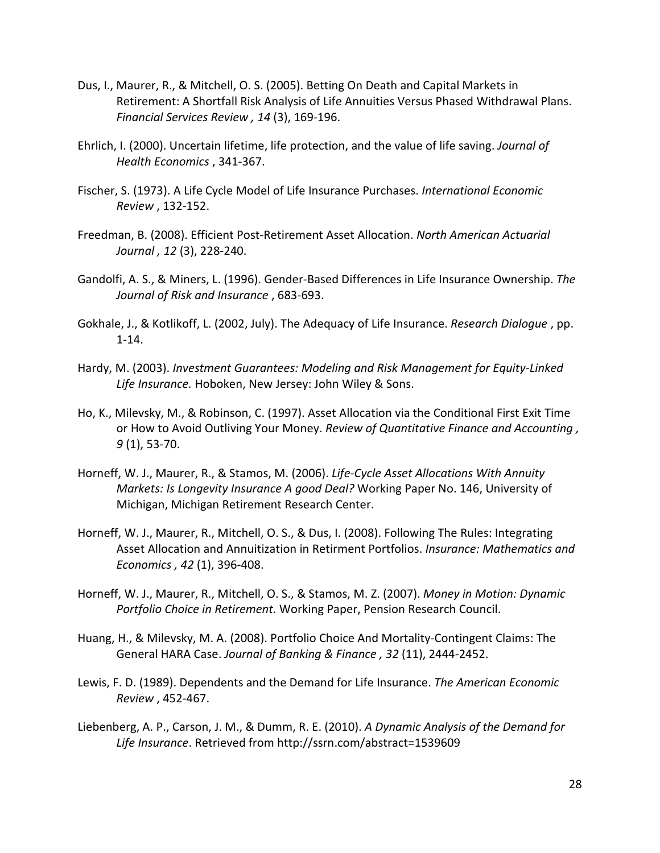- Dus, I., Maurer, R., & Mitchell, O. S. (2005). Betting On Death and Capital Markets in Retirement: A Shortfall Risk Analysis of Life Annuities Versus Phased Withdrawal Plans. *Financial Services Review , 14* (3), 169-196.
- Ehrlich, I. (2000). Uncertain lifetime, life protection, and the value of life saving. *Journal of Health Economics* , 341-367.
- Fischer, S. (1973). A Life Cycle Model of Life Insurance Purchases. *International Economic Review* , 132-152.
- Freedman, B. (2008). Efficient Post-Retirement Asset Allocation. *North American Actuarial Journal , 12* (3), 228-240.
- Gandolfi, A. S., & Miners, L. (1996). Gender-Based Differences in Life Insurance Ownership. *The Journal of Risk and Insurance* , 683-693.
- Gokhale, J., & Kotlikoff, L. (2002, July). The Adequacy of Life Insurance. *Research Dialogue* , pp. 1-14.
- Hardy, M. (2003). *Investment Guarantees: Modeling and Risk Management for Equity-Linked Life Insurance.* Hoboken, New Jersey: John Wiley & Sons.
- Ho, K., Milevsky, M., & Robinson, C. (1997). Asset Allocation via the Conditional First Exit Time or How to Avoid Outliving Your Money. *Review of Quantitative Finance and Accounting , 9* (1), 53-70.
- Horneff, W. J., Maurer, R., & Stamos, M. (2006). *Life-Cycle Asset Allocations With Annuity Markets: Is Longevity Insurance A good Deal?* Working Paper No. 146, University of Michigan, Michigan Retirement Research Center.
- Horneff, W. J., Maurer, R., Mitchell, O. S., & Dus, I. (2008). Following The Rules: Integrating Asset Allocation and Annuitization in Retirment Portfolios. *Insurance: Mathematics and Economics , 42* (1), 396-408.
- Horneff, W. J., Maurer, R., Mitchell, O. S., & Stamos, M. Z. (2007). *Money in Motion: Dynamic Portfolio Choice in Retirement.* Working Paper, Pension Research Council.
- Huang, H., & Milevsky, M. A. (2008). Portfolio Choice And Mortality-Contingent Claims: The General HARA Case. *Journal of Banking & Finance , 32* (11), 2444-2452.
- Lewis, F. D. (1989). Dependents and the Demand for Life Insurance. *The American Economic Review* , 452-467.
- Liebenberg, A. P., Carson, J. M., & Dumm, R. E. (2010). *A Dynamic Analysis of the Demand for Life Insurance*. Retrieved from http://ssrn.com/abstract=1539609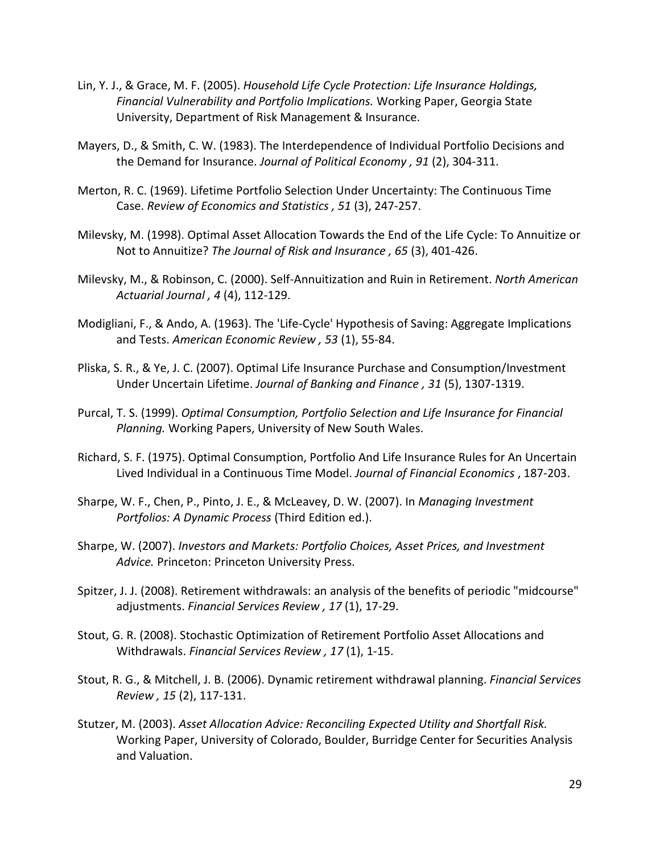- Lin, Y. J., & Grace, M. F. (2005). *Household Life Cycle Protection: Life Insurance Holdings, Financial Vulnerability and Portfolio Implications.* Working Paper, Georgia State University, Department of Risk Management & Insurance.
- Mayers, D., & Smith, C. W. (1983). The Interdependence of Individual Portfolio Decisions and the Demand for Insurance. *Journal of Political Economy , 91* (2), 304-311.
- Merton, R. C. (1969). Lifetime Portfolio Selection Under Uncertainty: The Continuous Time Case. *Review of Economics and Statistics , 51* (3), 247-257.
- Milevsky, M. (1998). Optimal Asset Allocation Towards the End of the Life Cycle: To Annuitize or Not to Annuitize? *The Journal of Risk and Insurance , 65* (3), 401-426.
- Milevsky, M., & Robinson, C. (2000). Self-Annuitization and Ruin in Retirement. *North American Actuarial Journal , 4* (4), 112-129.
- Modigliani, F., & Ando, A. (1963). The 'Life-Cycle' Hypothesis of Saving: Aggregate Implications and Tests. *American Economic Review , 53* (1), 55-84.
- Pliska, S. R., & Ye, J. C. (2007). Optimal Life Insurance Purchase and Consumption/Investment Under Uncertain Lifetime. *Journal of Banking and Finance , 31* (5), 1307-1319.
- Purcal, T. S. (1999). *Optimal Consumption, Portfolio Selection and Life Insurance for Financial Planning.* Working Papers, University of New South Wales.
- Richard, S. F. (1975). Optimal Consumption, Portfolio And Life Insurance Rules for An Uncertain Lived Individual in a Continuous Time Model. *Journal of Financial Economics* , 187-203.
- Sharpe, W. F., Chen, P., Pinto, J. E., & McLeavey, D. W. (2007). In *Managing Investment Portfolios: A Dynamic Process* (Third Edition ed.).
- Sharpe, W. (2007). *Investors and Markets: Portfolio Choices, Asset Prices, and Investment Advice.* Princeton: Princeton University Press.
- Spitzer, J. J. (2008). Retirement withdrawals: an analysis of the benefits of periodic "midcourse" adjustments. *Financial Services Review , 17* (1), 17-29.
- Stout, G. R. (2008). Stochastic Optimization of Retirement Portfolio Asset Allocations and Withdrawals. *Financial Services Review , 17* (1), 1-15.
- Stout, R. G., & Mitchell, J. B. (2006). Dynamic retirement withdrawal planning. *Financial Services Review , 15* (2), 117-131.
- Stutzer, M. (2003). *Asset Allocation Advice: Reconciling Expected Utility and Shortfall Risk.* Working Paper, University of Colorado, Boulder, Burridge Center for Securities Analysis and Valuation.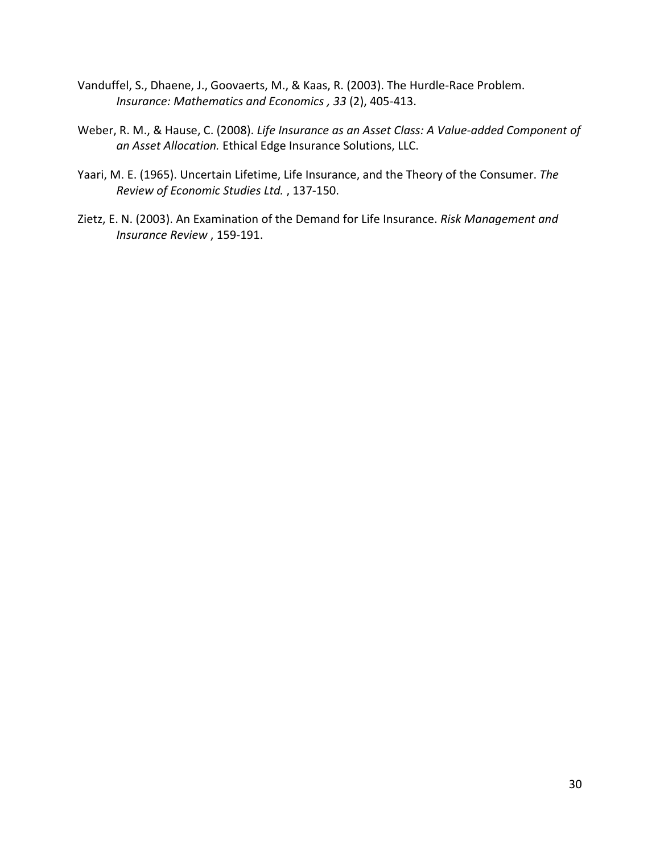- Vanduffel, S., Dhaene, J., Goovaerts, M., & Kaas, R. (2003). The Hurdle-Race Problem. *Insurance: Mathematics and Economics , 33* (2), 405-413.
- Weber, R. M., & Hause, C. (2008). *Life Insurance as an Asset Class: A Value-added Component of an Asset Allocation.* Ethical Edge Insurance Solutions, LLC.
- Yaari, M. E. (1965). Uncertain Lifetime, Life Insurance, and the Theory of the Consumer. *The Review of Economic Studies Ltd.* , 137-150.
- Zietz, E. N. (2003). An Examination of the Demand for Life Insurance. *Risk Management and Insurance Review* , 159-191.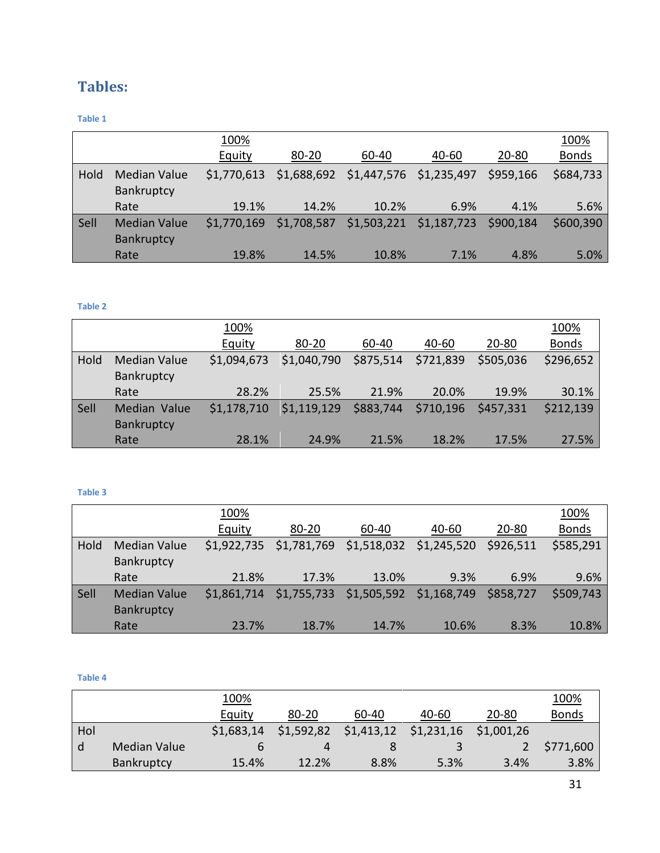# **Tables:**

### <span id="page-30-0"></span>**Table 1**

|      |                                   | 100%        |             |                                     |                                   |           | 100%         |
|------|-----------------------------------|-------------|-------------|-------------------------------------|-----------------------------------|-----------|--------------|
|      |                                   | Equity      | $80 - 20$   | 60-40                               | 40-60                             | $20 - 80$ | <b>Bonds</b> |
| Hold | <b>Median Value</b><br>Bankruptcy | \$1,770,613 |             | \$1,688,692 \$1,447,576 \$1,235,497 |                                   | \$959,166 | \$684,733    |
|      | Rate                              | 19.1%       | 14.2%       | 10.2%                               | 6.9%                              | 4.1%      | 5.6%         |
| Sell | <b>Median Value</b><br>Bankruptcy | \$1,770,169 | \$1,708,587 |                                     | \$1,503,221 \$1,187,723 \$900,184 |           | \$600,390    |
|      | Rate                              | 19.8%       | 14.5%       | 10.8%                               | 7.1%                              | 4.8%      | 5.0%         |

#### <span id="page-30-1"></span>**Table 2**

|      |                                   | 100%          |             |           |           |           | 100%         |
|------|-----------------------------------|---------------|-------------|-----------|-----------|-----------|--------------|
|      |                                   | <b>Equity</b> | $80 - 20$   | 60-40     | 40-60     | $20 - 80$ | <b>Bonds</b> |
| Hold | <b>Median Value</b><br>Bankruptcy | \$1,094,673   | \$1,040,790 | \$875,514 | \$721,839 | \$505,036 | \$296,652    |
|      | Rate                              | 28.2%         | 25.5%       | 21.9%     | 20.0%     | 19.9%     | 30.1%        |
| Sell | Median Value<br>Bankruptcy        | \$1,178,710   | \$1,119,129 | \$883,744 | \$710,196 | \$457,331 | \$212,139    |
|      | Rate                              | 28.1%         | 24.9%       | 21.5%     | 18.2%     | 17.5%     | 27.5%        |

#### <span id="page-30-2"></span>**Table 3**

|      |                                   | 100%        |             |             |                                                 |           | 100%         |
|------|-----------------------------------|-------------|-------------|-------------|-------------------------------------------------|-----------|--------------|
|      |                                   | Equity      | $80 - 20$   | 60-40       | 40-60                                           | $20 - 80$ | <b>Bonds</b> |
| Hold | <b>Median Value</b><br>Bankruptcy |             |             |             | \$1,922,735 \$1,781,769 \$1,518,032 \$1,245,520 | \$926,511 | \$585,291    |
|      | Rate                              | 21.8%       | 17.3%       | 13.0%       | 9.3%                                            | 6.9%      | 9.6%         |
| Sell | <b>Median Value</b><br>Bankruptcy | \$1,861,714 | \$1,755,733 | \$1,505,592 | \$1,168,749                                     | \$858,727 | \$509,743    |
|      | Rate                              | 23.7%       | 18.7%       | 14.7%       | 10.6%                                           | 8.3%      | 10.8%        |

#### <span id="page-30-3"></span>**Table 4**

|     |                   | 100%       |            |                         |       |            | 100%         |
|-----|-------------------|------------|------------|-------------------------|-------|------------|--------------|
|     |                   | Equity     | $80 - 20$  | 60-40                   | 40-60 | $20 - 80$  | <b>Bonds</b> |
| Hol |                   | \$1,683,14 | \$1,592,82 | $$1,413,12$ $$1,231,16$ |       | \$1,001,26 |              |
| l d | Median Value      |            |            |                         |       |            | \$771,600    |
|     | <b>Bankruptcy</b> | 15.4%      | 12.2%      | $8.8\%$                 | 5.3%  | 3.4%       | 3.8%         |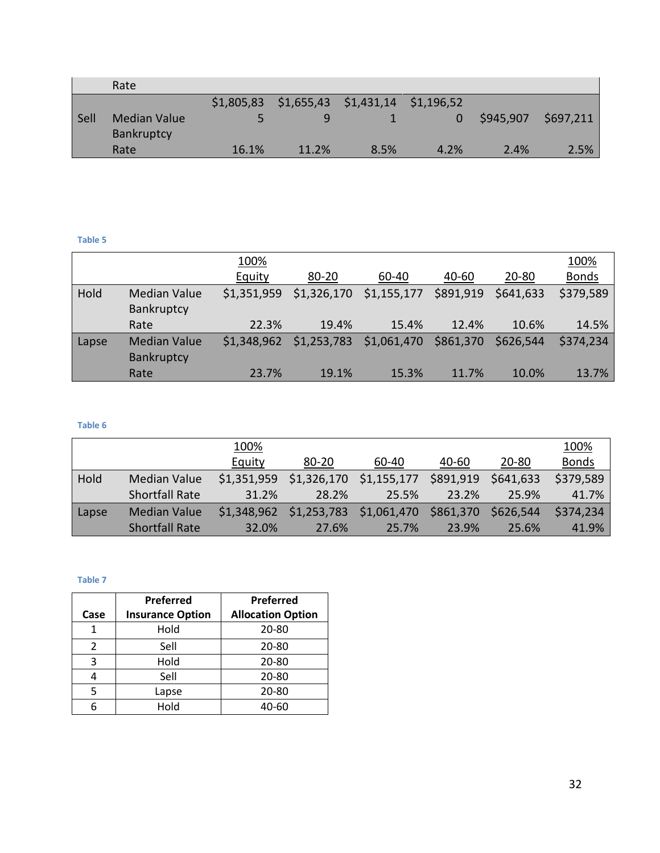|      | Rate                              |            |       |                                  |      |           |           |
|------|-----------------------------------|------------|-------|----------------------------------|------|-----------|-----------|
|      |                                   | \$1,805,83 |       | \$1,655,43 \$1,431,14 \$1,196,52 |      |           |           |
| Sell | <b>Median Value</b><br>Bankruptcy |            |       |                                  |      | \$945,907 | \$697,211 |
|      | Rate                              | 16.1%      | 11.2% | 8.5%                             | 4.2% | 2.4%      | 2.5%      |

#### <span id="page-31-0"></span>**Table 5**

|       |                                   | 100%        |             |             |           |           | 100%         |
|-------|-----------------------------------|-------------|-------------|-------------|-----------|-----------|--------------|
|       |                                   | Equity      | $80 - 20$   | 60-40       | 40-60     | 20-80     | <b>Bonds</b> |
| Hold  | <b>Median Value</b><br>Bankruptcy | \$1,351,959 | \$1,326,170 | \$1,155,177 | \$891,919 | \$641,633 | \$379,589    |
|       | Rate                              | 22.3%       | 19.4%       | 15.4%       | 12.4%     | 10.6%     | 14.5%        |
| Lapse | <b>Median Value</b><br>Bankruptcy | \$1,348,962 | \$1,253,783 | \$1,061,470 | \$861,370 | \$626,544 | \$374,234    |
|       | Rate                              | 23.7%       | 19.1%       | 15.3%       | 11.7%     | 10.0%     | 13.7%        |

#### <span id="page-31-1"></span>**Table 6**

|       |                       | 100%          |                         |                         |           |           | 100%         |
|-------|-----------------------|---------------|-------------------------|-------------------------|-----------|-----------|--------------|
|       |                       | <b>Equity</b> | 80-20                   | 60-40                   | 40-60     | $20 - 80$ | <b>Bonds</b> |
| Hold  | <b>Median Value</b>   | \$1,351,959   | \$1,326,170 \$1,155,177 |                         | \$891,919 | \$641,633 | \$379,589    |
|       | <b>Shortfall Rate</b> | 31.2%         | 28.2%                   | 25.5%                   | 23.2%     | 25.9%     | 41.7%        |
| Lapse | <b>Median Value</b>   | \$1,348,962   |                         | \$1,253,783 \$1,061,470 | \$861,370 | \$626,544 | \$374,234    |
|       | <b>Shortfall Rate</b> | 32.0%         | 27.6%                   | 25.7%                   | 23.9%     | 25.6%     | 41.9%        |

#### <span id="page-31-2"></span>**Table 7**

|      | Preferred               | Preferred                |
|------|-------------------------|--------------------------|
| Case | <b>Insurance Option</b> | <b>Allocation Option</b> |
| 1    | Hold                    | 20-80                    |
| 2    | Sell                    | 20-80                    |
| 3    | Hold                    | 20-80                    |
| 4    | Sell                    | 20-80                    |
| 5    | Lapse                   | 20-80                    |
| 6    | Hold                    | 40-60                    |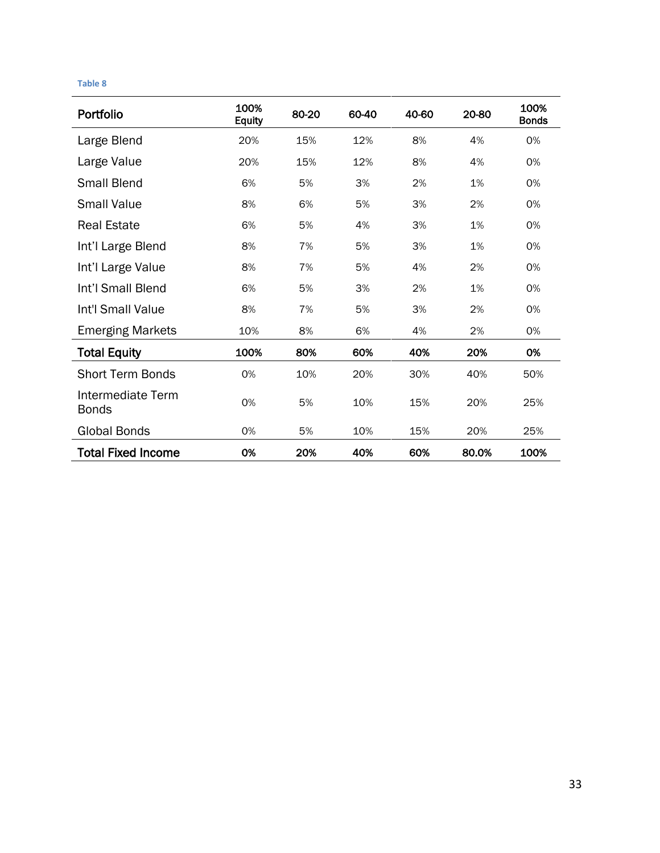#### <span id="page-32-0"></span>**Table 8**

| Portfolio                         | 100%<br><b>Equity</b> | 80-20 | 60-40 | 40-60 | 20-80 | 100%<br><b>Bonds</b> |
|-----------------------------------|-----------------------|-------|-------|-------|-------|----------------------|
| Large Blend                       | 20%                   | 15%   | 12%   | 8%    | 4%    | 0%                   |
| Large Value                       | 20%                   | 15%   | 12%   | 8%    | 4%    | 0%                   |
| <b>Small Blend</b>                | 6%                    | 5%    | 3%    | 2%    | 1%    | 0%                   |
| <b>Small Value</b>                | 8%                    | 6%    | 5%    | 3%    | 2%    | 0%                   |
| <b>Real Estate</b>                | 6%                    | 5%    | 4%    | 3%    | 1%    | 0%                   |
| Int'l Large Blend                 | 8%                    | 7%    | 5%    | 3%    | 1%    | 0%                   |
| Int'l Large Value                 | 8%                    | 7%    | 5%    | 4%    | 2%    | 0%                   |
| Int'l Small Blend                 | 6%                    | 5%    | 3%    | 2%    | 1%    | 0%                   |
| Int'l Small Value                 | 8%                    | 7%    | 5%    | 3%    | 2%    | 0%                   |
| <b>Emerging Markets</b>           | 10%                   | 8%    | 6%    | 4%    | 2%    | 0%                   |
| <b>Total Equity</b>               | 100%                  | 80%   | 60%   | 40%   | 20%   | 0%                   |
| <b>Short Term Bonds</b>           | 0%                    | 10%   | 20%   | 30%   | 40%   | 50%                  |
| Intermediate Term<br><b>Bonds</b> | 0%                    | 5%    | 10%   | 15%   | 20%   | 25%                  |
| <b>Global Bonds</b>               | 0%                    | 5%    | 10%   | 15%   | 20%   | 25%                  |
| <b>Total Fixed Income</b>         | 0%                    | 20%   | 40%   | 60%   | 80.0% | 100%                 |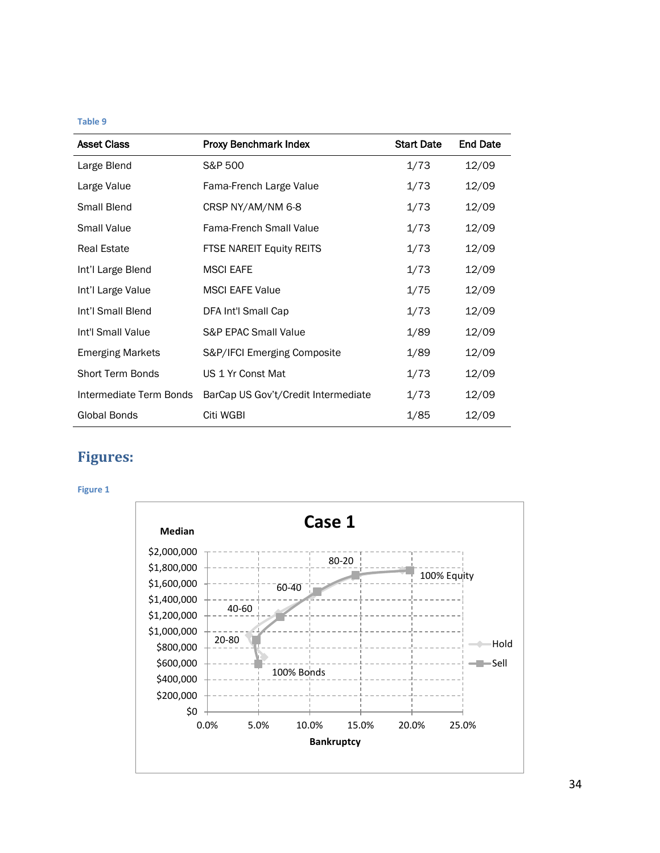#### <span id="page-33-1"></span>**Table 9**

| <b>Asset Class</b>      | Proxy Benchmark Index               | <b>Start Date</b> | <b>End Date</b> |
|-------------------------|-------------------------------------|-------------------|-----------------|
| Large Blend             | S&P 500                             | 1/73              | 12/09           |
| Large Value             | Fama-French Large Value             | 1/73              | 12/09           |
| Small Blend             | CRSP NY/AM/NM 6-8                   | 1/73              | 12/09           |
| <b>Small Value</b>      | <b>Fama-French Small Value</b>      | 1/73              | 12/09           |
| <b>Real Estate</b>      | FTSE NAREIT Equity REITS            | 1/73              | 12/09           |
| Int'l Large Blend       | <b>MSCI EAFE</b>                    | 1/73              | 12/09           |
| Int'l Large Value       | <b>MSCI EAFE Value</b>              | 1/75              | 12/09           |
| Int'l Small Blend       | DFA Int'l Small Cap                 | 1/73              | 12/09           |
| Int'l Small Value       | <b>S&amp;P EPAC Small Value</b>     | 1/89              | 12/09           |
| <b>Emerging Markets</b> | S&P/IFCI Emerging Composite         | 1/89              | 12/09           |
| <b>Short Term Bonds</b> | US 1 Yr Const Mat                   | 1/73              | 12/09           |
| Intermediate Term Bonds | BarCap US Gov't/Credit Intermediate | 1/73              | 12/09           |
| Global Bonds            | Citi WGBI                           | 1/85              | 12/09           |

# **Figures:**

<span id="page-33-0"></span>**Figure 1**

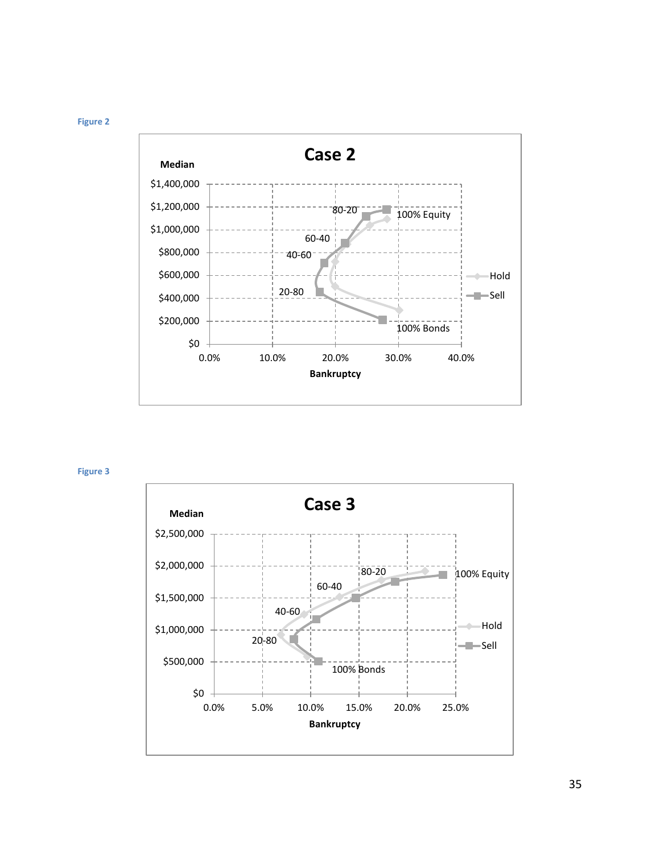<span id="page-34-0"></span>



<span id="page-34-1"></span>**Figure 3**

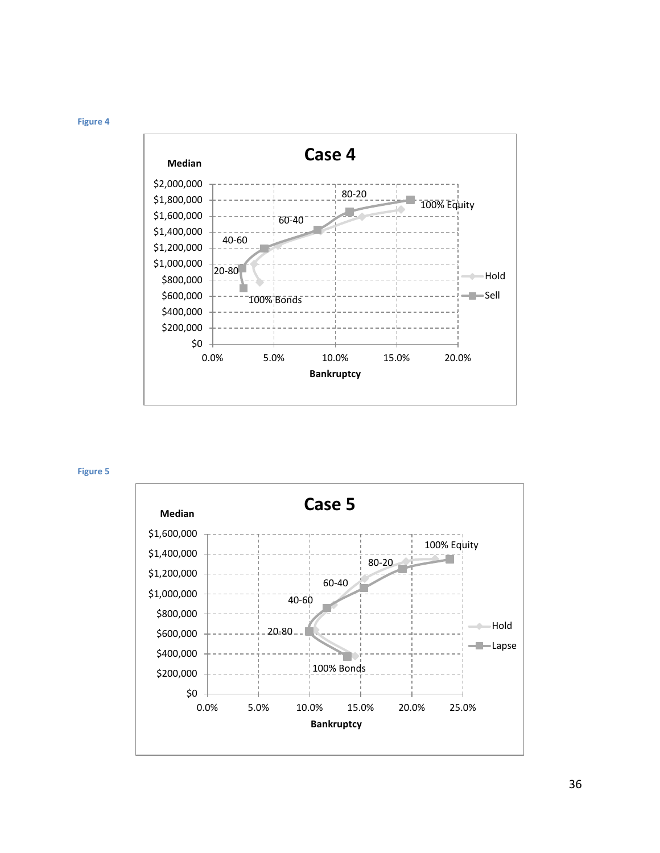<span id="page-35-0"></span>



<span id="page-35-1"></span>**Figure 5**